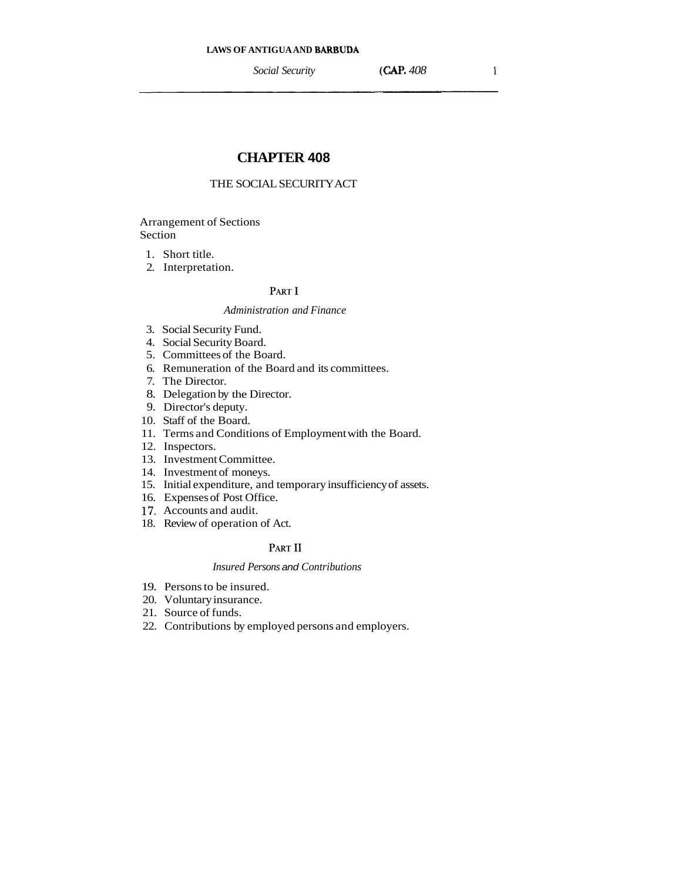# **CHAPTER 408**

# THE SOCIAL SECURITY ACT

# Arrangement of Sections Section

- 1. Short title.
- 2. Interpretation.

# PART I

# *Administration and Finance*

- 3. Social Security Fund.
- 4. Social Security Board.
- 5. Committees of the Board.
- 6. Remuneration of the Board and its committees.
- 7. The Director.
- 8. Delegation by the Director.
- 9. Director's deputy.
- 10. Staff of the Board.
- 11. Terms and Conditions of Employment with the Board.
- 12. Inspectors.
- 13. Investment Committee.
- 14. Investment of moneys.
- 15. Initial expenditure, and temporary insufficiency of assets.
- 16. Expenses of Post Office.
- 17. Accounts and audit.
- 18. Review of operation of Act.

# PART II

# *Insured Persons* and *Contributions*

- 19. Persons to be insured.
- 20. Voluntary insurance.
- 21. Source of funds.
- 22. Contributions by employed persons and employers.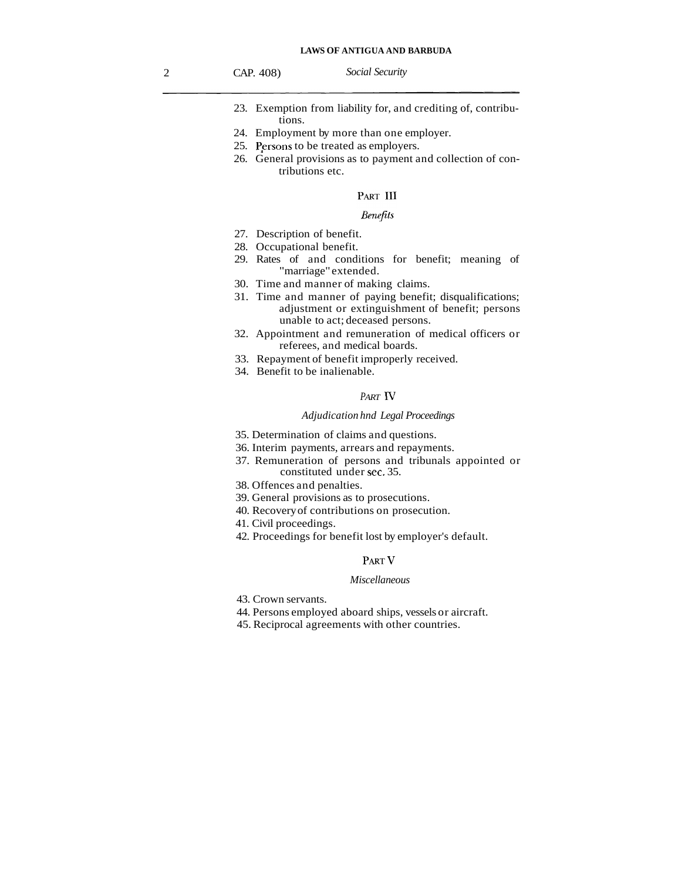- 23. Exemption from liability for, and crediting of, contributions.
- 24. Employment by more than one employer.
- 25. Persons to be treated as employers.
- 26. General provisions as to payment and collection of contributions etc.

## PART III

## *Benefits*

- 27. Description of benefit.
- 28. Occupational benefit.
- 29. Rates of and conditions for benefit; meaning of "marriage" extended.
- 30. Time and manner of making claims.
- 31. Time and manner of paying benefit; disqualifications; adjustment or extinguishment of benefit; persons unable to act; deceased persons.
- 32. Appointment and remuneration of medical officers or referees, and medical boards.
- 33. Repayment of benefit improperly received.
- 34. Benefit to be inalienable.

## *PART* N

## *Adjudication hnd Legal Proceedings*

- 35. Determination of claims and questions.
- 36. Interim payments, arrears and repayments.
- 37. Remuneration of persons and tribunals appointed or constituted under sec. 35.
- 38. Offences and penalties.
- 39. General provisions as to prosecutions.
- 40. Recovery of contributions on prosecution.
- 41. Civil proceedings.
- 42. Proceedings for benefit lost by employer's default.

## PART V

## *Miscellaneous*

- 43. Crown servants.
- 44. Persons employed aboard ships, vessels or aircraft.
- 45. Reciprocal agreements with other countries.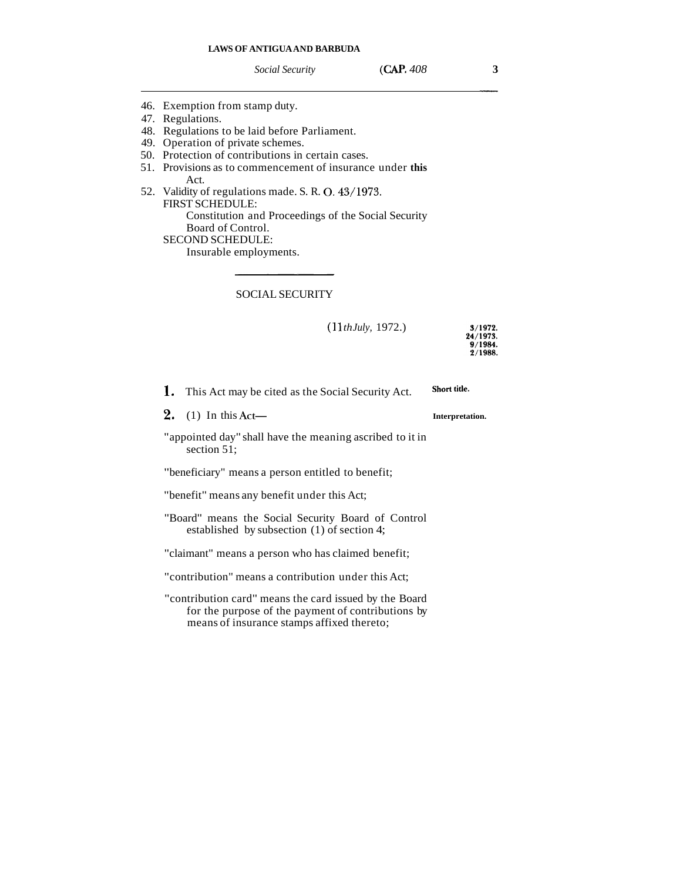*Social Security* **(CAP. 4083** 

- 46. Exemption from stamp duty.
- 47. Regulations.
- 48. Regulations to be laid before Parliament.
- 49. Operation of private schemes.
- 50. Protection of contributions in certain cases.
- 51. Provisions as to commencement of insurance under **this**   $\Delta$   $ct$
- 52. Validity of regulations made. S. R. 0.43/1973. FIRST SCHEDULE: Constitution and Proceedings of the Social Security Board of Control. SECOND SCHEDULE:

Insurable employments.

## SOCIAL SECURITY

(1 1 *th July,* 1972.)

3/1972. 24/1973. 9/1984. 2/1988.

| 1. | This Act may be cited as the Social Security Act. | Short title. |
|----|---------------------------------------------------|--------------|
|----|---------------------------------------------------|--------------|

**2.** (1) In this Act- **Interpretation.** 

"appointed day" shall have the meaning ascribed to it in section 51:

"beneficiary" means a person entitled to benefit;

"benefit" means any benefit under this Act;

"Board" means the Social Security Board of Control established by subsection (1) of section 4;

"claimant" means a person who has claimed benefit;

"contribution" means a contribution under this Act;

"contribution card" means the card issued by the Board for the purpose of the payment of contributions by means of insurance stamps affixed thereto;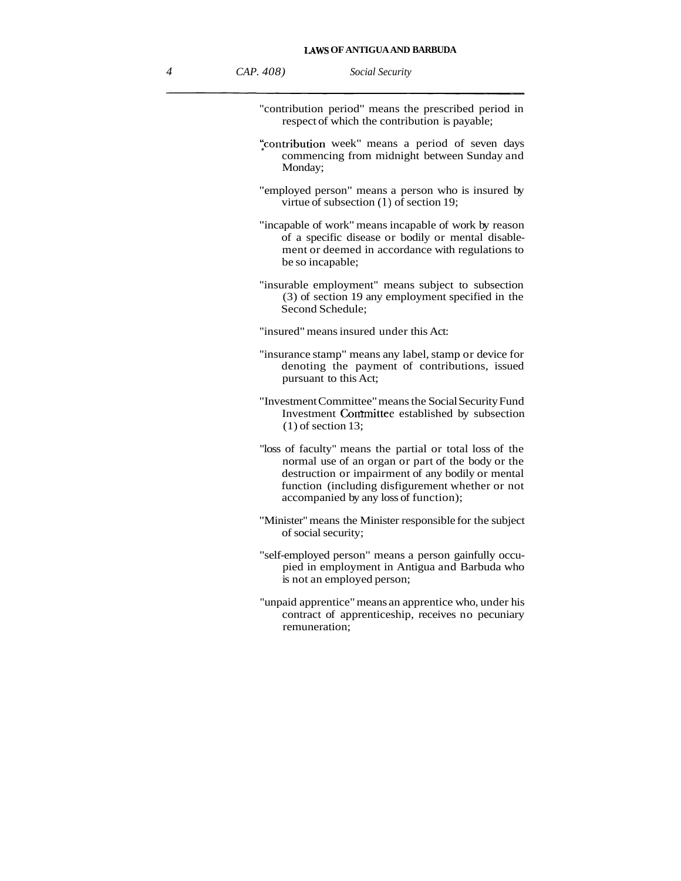"contribution period" means the prescribed period in respect of which the contribution is payable;

- :contribution week" means a period of seven days commencing from midnight between Sunday and Monday;
- "employed person" means a person who is insured by virtue of subsection (1) of section 19;
- "incapable of work" means incapable of work by reason of a specific disease or bodily or mental disablement or deemed in accordance with regulations to be so incapable;
- "insurable employment" means subject to subsection (3) of section 19 any employment specified in the Second Schedule;

"insured" means insured under this Act:

- "insurance stamp" means any label, stamp or device for denoting the payment of contributions, issued pursuant to this Act;
- "Investment Committee" means the Social Security Fund Investment Committee established by subsection  $(1)$  of section 13;
- "loss of faculty" means the partial or total loss of the normal use of an organ or part of the body or the destruction or impairment of any bodily or mental function (including disfigurement whether or not accompanied by any loss of function);
- "Minister" means the Minister responsible for the subject of social security;
- "self-employed person" means a person gainfully occupied in employment in Antigua and Barbuda who is not an employed person;
- "unpaid apprentice" means an apprentice who, under his contract of apprenticeship, receives no pecuniary remuneration;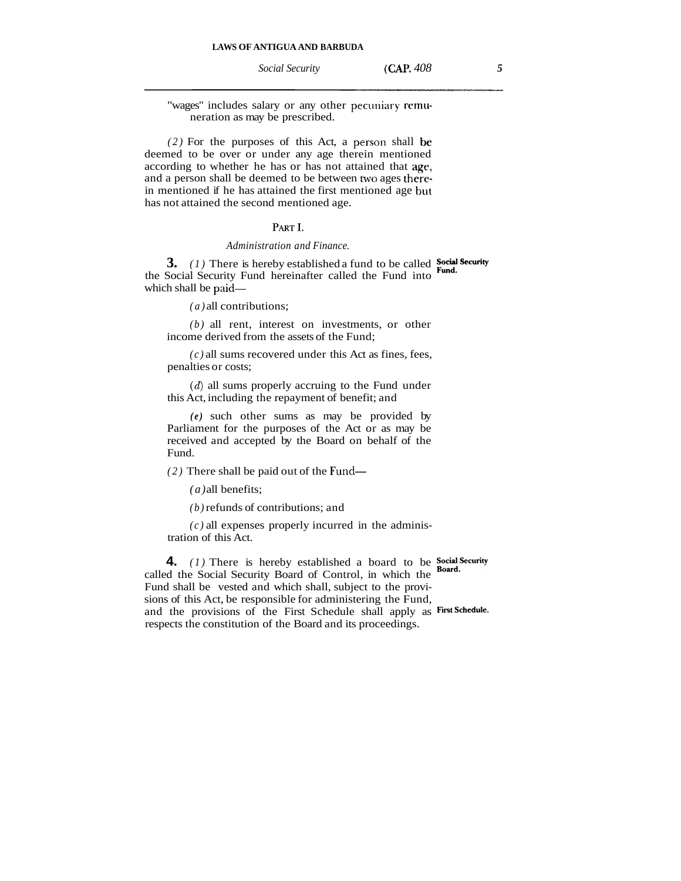*Social Security* **(CAP.** *408 5* 

"wages" includes salary or any other pecuniary remuneration as may be prescribed.

*(2)* For the purposes of this Act, a persorl shall **be**  deemed to be over or under any age therein mentioned according to whether he has or has not attained that **age,**  and a person shall be deemed to be between two ages therein mentioned if he has attained the first mentioned age **but**  has not attained the second mentioned age.

## PART I

*Administration and Finance.* 

**3.** *(1)* There is hereby established a fund to be called **Social Security** the Social Security Fund hereinafter called the Fund into which shall be paid-

*(a)* all contributions;

*(b)* all rent, interest on investments, or other income derived from the assets of the Fund;

 $(c)$  all sums recovered under this Act as fines, fees, penalties or costs;

(d) all sums properly accruing to the Fund under this Act, including the repayment of benefit; and

*(e)* such other sums as may be provided by Parliament for the purposes of the Act or as may be received and accepted by the Board on behalf of the Fund.

*(2)* There shall be paid out of the Fund-

*(a)* all benefits;

*(b)* refunds of contributions; and

 $(c)$  all expenses properly incurred in the administration of this Act.

**4.** *(1)* There is hereby established a board to be **Social Security Board**. called the Social Security Board of Control, in which the Fund shall be vested and which shall, subject to the provisions of this Act, be responsible for administering the Fund, and the provisions of the First Schedule shall apply as **Fintschedu'e.**  respects the constitution of the Board and its proceedings.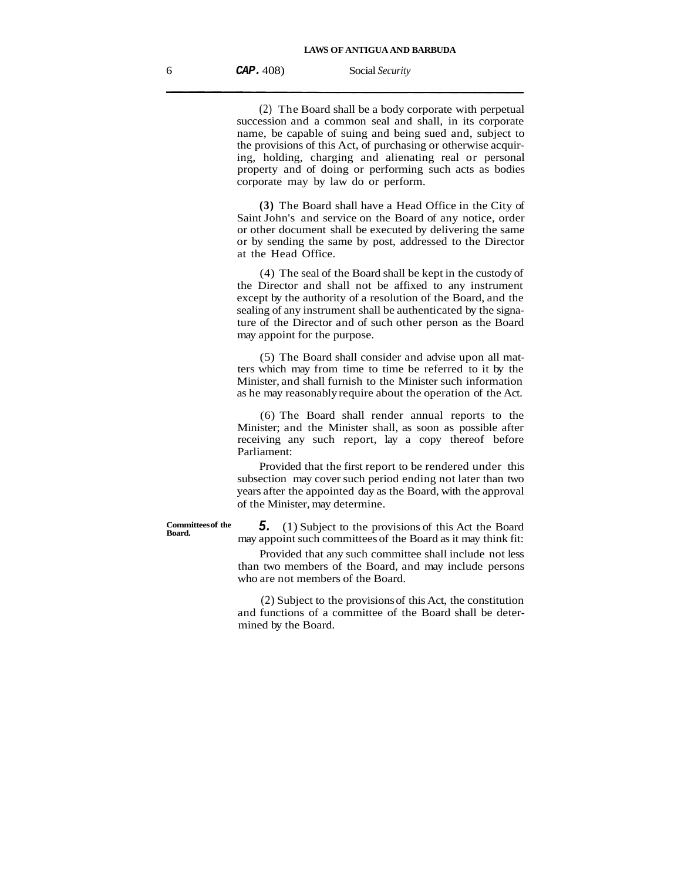(2) The Board shall be a body corporate with perpetual succession and a common seal and shall, in its corporate name, be capable of suing and being sued and, subject to the provisions of this Act, of purchasing or otherwise acquiring, holding, charging and alienating real or personal property and of doing or performing such acts as bodies corporate may by law do or perform.

**(3)** The Board shall have a Head Office in the City of Saint John's and service on the Board of any notice, order or other document shall be executed by delivering the same or by sending the same by post, addressed to the Director at the Head Office.

(4) The seal of the Board shall be kept in the custody of the Director and shall not be affixed to any instrument except by the authority of a resolution of the Board, and the sealing of any instrument shall be authenticated by the signature of the Director and of such other person as the Board may appoint for the purpose.

(5) The Board shall consider and advise upon all matters which may from time to time be referred to it by the Minister, and shall furnish to the Minister such information as he may reasonably require about the operation of the Act.

(6) The Board shall render annual reports to the Minister; and the Minister shall, as soon as possible after receiving any such report, lay a copy thereof before Parliament:

Provided that the first report to be rendered under this subsection may cover such period ending not later than two years after the appointed day as the Board, with the approval of the Minister, may determine.

**Committees of the** 

**5.** (1) Subject to the provisions of this Act the Board may appoint such committees of the Board as it may think fit:

Provided that any such committee shall include not less than two members of the Board, and may include persons who are not members of the Board.

(2) Subject to the provisions of this Act, the constitution and functions of a committee of the Board shall be determined by the Board.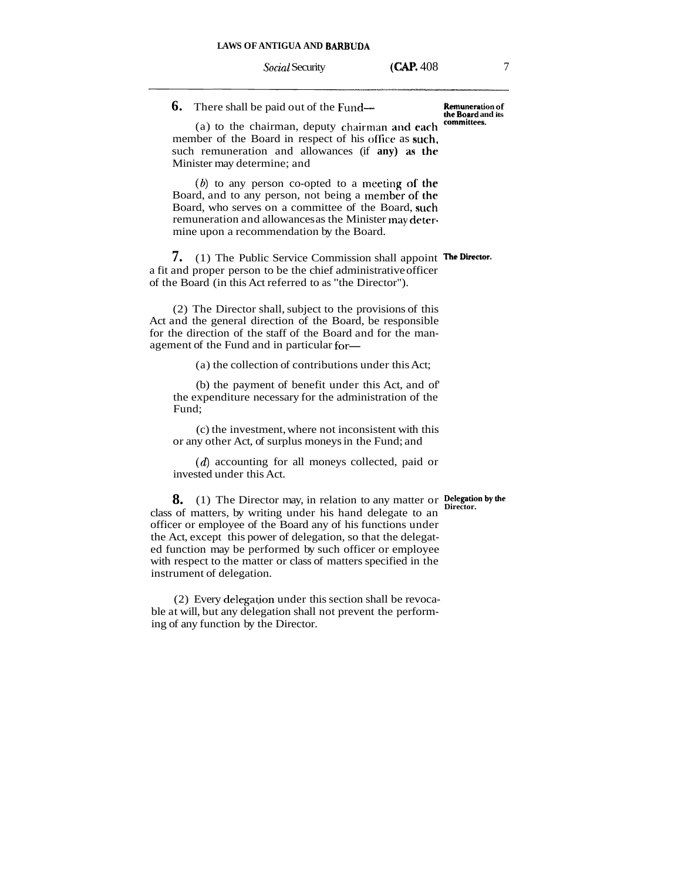Social Security **(CAP.** 408 7

# **6.** There shall be paid out of the Fund- **Remuneration of**

 $(a)$  to the chairman, deputy chairman and **each** member of the Board in respect of his olficc as **suck,**  such remuneration and allowances (if **any**) as the Minister may determine; and

(6) to any person co-opted to a meeting **of the**  Board, and to any person, not being a member **of the**  Board, who serves on a committee of the Board, **such**  remuneration and allowances as the Minister may **dctcr.**  mine upon a recommendation by the Board.

**7.** (1) The Public Service Commission shall appoint **The Director.** a fit and proper person to be the chief administrative officer of the Board (in this Act referred to as "the Director").

(2) The Director shall, subject to the provisions of this Act and the general direction of the Board, be responsible for the direction of the staff of the Board and for the management of the Fund and in particular for-

(a) the collection of contributions under this Act;

(b) the payment of benefit under this Act, and of' the expenditure necessary for the administration of the Fund;

(c) the investment, where not inconsistent with this or any other Act, of surplus moneys in the Fund; and

(d) accounting for all moneys collected, paid or invested under this Act.

**8.** (1) The Director may, in relation to any matter or **Delegation by the** class of matters, by writing under his hand delegate to an officer or employee of the Board any of his functions under the Act, except this power of delegation, so that the delegated function may be performed by such officer or employee with respect to the matter or class of matters specified in the instrument of delegation.

 $(2)$  Every delegation under this section shall be revocable at will, but any delegation shall not prevent the performing of any function by the Director.

the Board and its<br>committees.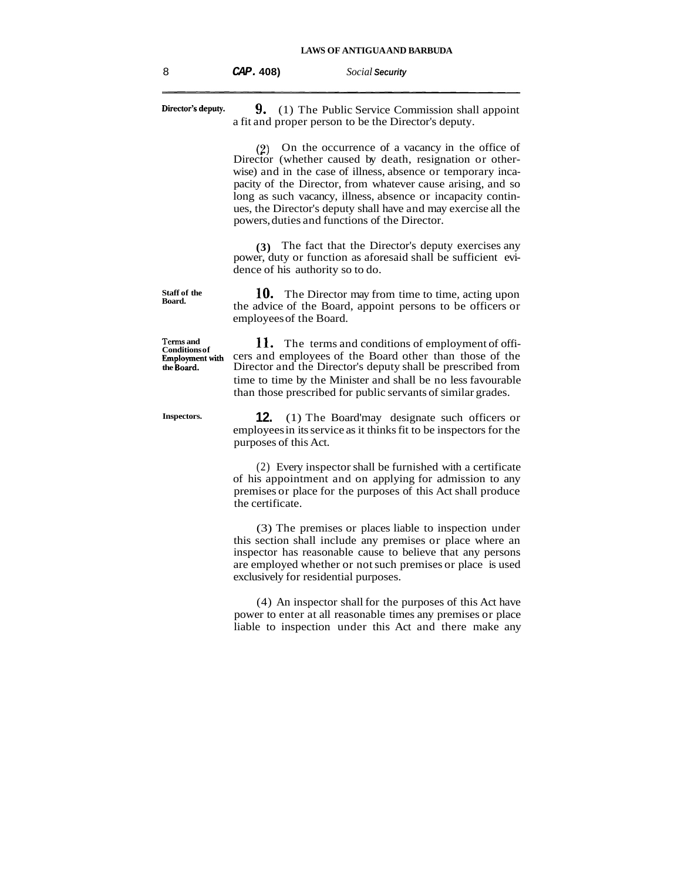| 8 | CAP.408 | Social Security |
|---|---------|-----------------|
|---|---------|-----------------|

**Director's deputy.** 9. (1) The Public Service Commission shall appoint a fit and proper person to be the Director's deputy. **(2)** On the occurrence of a vacancy in the office of Director (whether caused by death, resignation or otherwise) and in the case of illness, absence or temporary incapacity of the Director, from whatever cause arising, and so

long as such vacancy, illness, absence or incapacity continues, the Director's deputy shall have and may exercise all the powers, duties and functions of the Director.

**(3)** The fact that the Director's deputy exercises any power, duty or function as aforesaid shall be sufficient evidence of his authority so to do.

**10.** The Director may from time to time, acting upon the advice of the Board, appoint persons to be officers or employees of the Board.

**Conditions of 11.** The terms and conditions of employment of official conditions of employment with cers and employees of the Board other than those of the **Employmentwith** cers and employees of the Board other than those of the Director and the Director's deputy shall be prescribed from time to time by the Minister and shall be no less favourable than those prescribed for public servants of similar grades.

**Inspectors. 12.** (1) The Board'may designate such officers or employees in its service as it thinks fit to be inspectors for the purposes of this Act.

> (2) Every inspector shall be furnished with a certificate of his appointment and on applying for admission to any premises or place for the purposes of this Act shall produce the certificate.

> (3) The premises or places liable to inspection under this section shall include any premises or place where an inspector has reasonable cause to believe that any persons are employed whether or not such premises or place is used exclusively for residential purposes.

> (4) An inspector shall for the purposes of this Act have power to enter at all reasonable times any premises or place liable to inspection under this Act and there make any

**Terms and <br>Conditions of** 

**Staff of the Board.**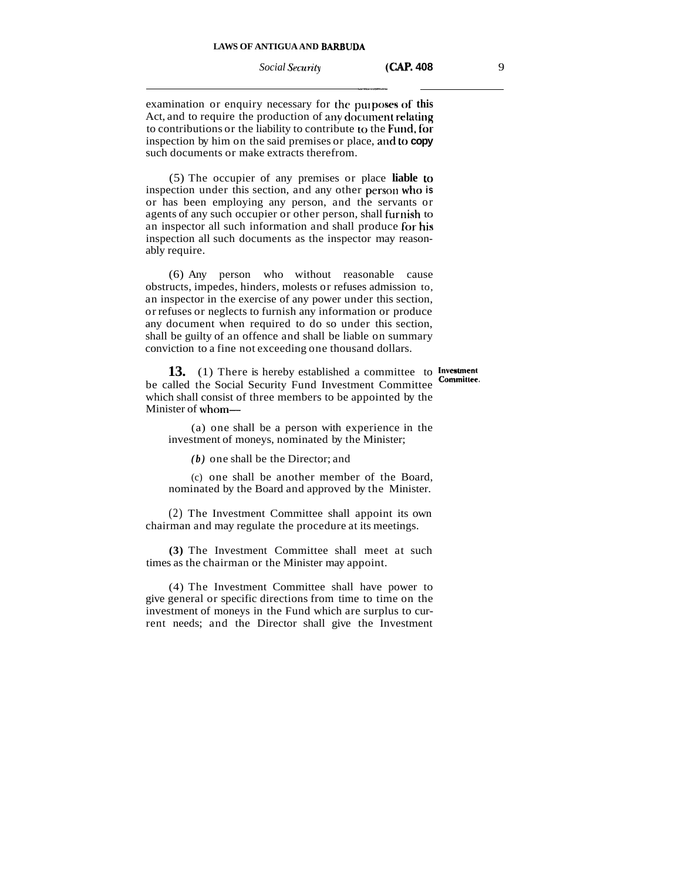**Social Security (CAP. 408** 9

examination or enquiry necessary for the purposes of this Act, and to require the production of any document relating to contributions or the liability to contribute **to** the **Fit114, fiar**  inspection by him on the said premises or place, and to **copy** such documents or make extracts therefrom.

(5) The occupier of any premises or place **liable to**  inspection under this section, and any other person **who is**  or has been employing any person, and the servants or agents of any such occupier or other person, shall furnish to an inspector all such information and shall produce for his inspection all such documents as the inspector may reasonably require.

(6) Any person who without reasonable cause obstructs, impedes, hinders, molests or refuses admission to, an inspector in the exercise of any power under this section, or refuses or neglects to furnish any information or produce any document when required to do so under this section, shall be guilty of an offence and shall be liable on summary conviction to a fine not exceeding one thousand dollars.

**13.** (1) There is hereby established a committee to **Investment Committee**. be called the Social Security Fund Investment Committee which shall consist of three members to be appointed by the Minister of whom-

(a) one shall be a person with experience in the investment of moneys, nominated by the Minister;

*(b)* one shall be the Director; and

(c) one shall be another member of the Board, nominated by the Board and approved by the Minister.

(2) The Investment Committee shall appoint its own chairman and may regulate the procedure at its meetings.

**(3)** The Investment Committee shall meet at such times as the chairman or the Minister may appoint.

(4) The Investment Committee shall have power to give general or specific directions from time to time on the investment of moneys in the Fund which are surplus to current needs; and the Director shall give the Investment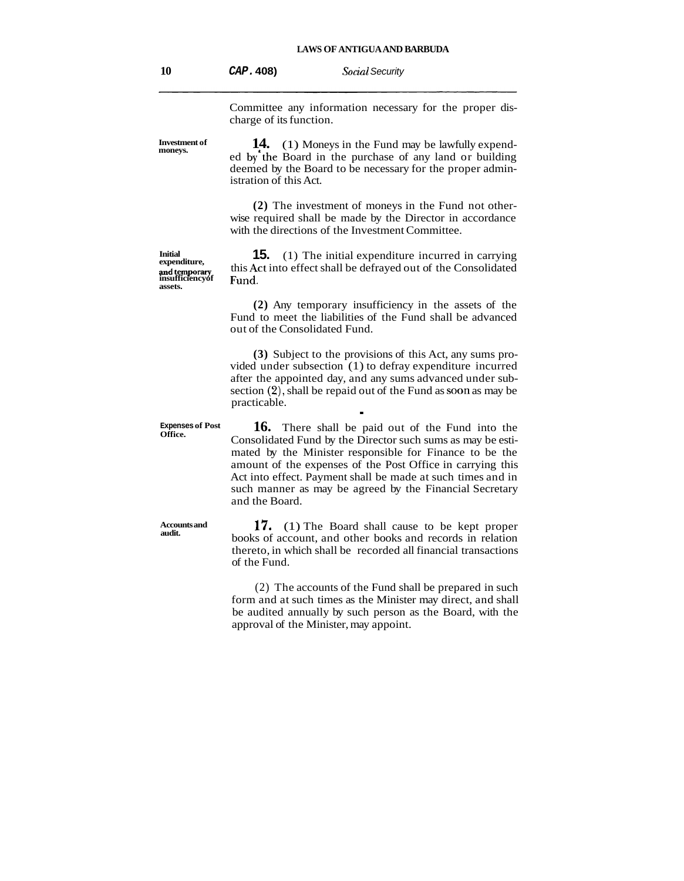**10 CAP. 408)** *Social* Security

Committee any information necessary for the proper discharge of its function.

**Investment of moneys. 14.** (1) Moneys in the Fund may be lawfully expended by the Board in the purchase of any land or building deemed by the Board to be necessary for the proper administration of this Act. **(2)** The investment of moneys in the Fund not otherwise required shall be made by the Director in accordance with the directions of the Investment Committee. **15.** (1) The initial expenditure incurred in carrying this Act into effect shall be defrayed out of the Consolidated Fund. **(2)** Any temporary insufficiency in the assets of the Fund to meet the liabilities of the Fund shall be advanced out of the Consolidated Fund. **(3)** Subject to the provisions of this Act, any sums pro-

vided under subsection (1) to defray expenditure incurred after the appointed day, and any sums advanced under subsection (2), shall be repaid out of the Fund as soon as may be practicable.

**16.** There shall be paid out of the Fund into the Consolidated Fund by the Director such sums as may be estimated by the Minister responsible for Finance to be the amount of the expenses of the Post Office in carrying this Act into effect. Payment shall be made at such times and in such manner as may be agreed by the Financial Secretary and the Board.

**17.** (1) The Board shall cause to be kept proper books of account, and other books and records in relation thereto, in which shall be recorded all financial transactions of the Fund.

(2) The accounts of the Fund shall be prepared in such form and at such times as the Minister may direct, and shall be audited annually by such person as the Board, with the approval of the Minister, may appoint.

**Initial**  and temporary<br>insufficiencyof **assets.** 

**Expenses of Post** 

**Accounts and**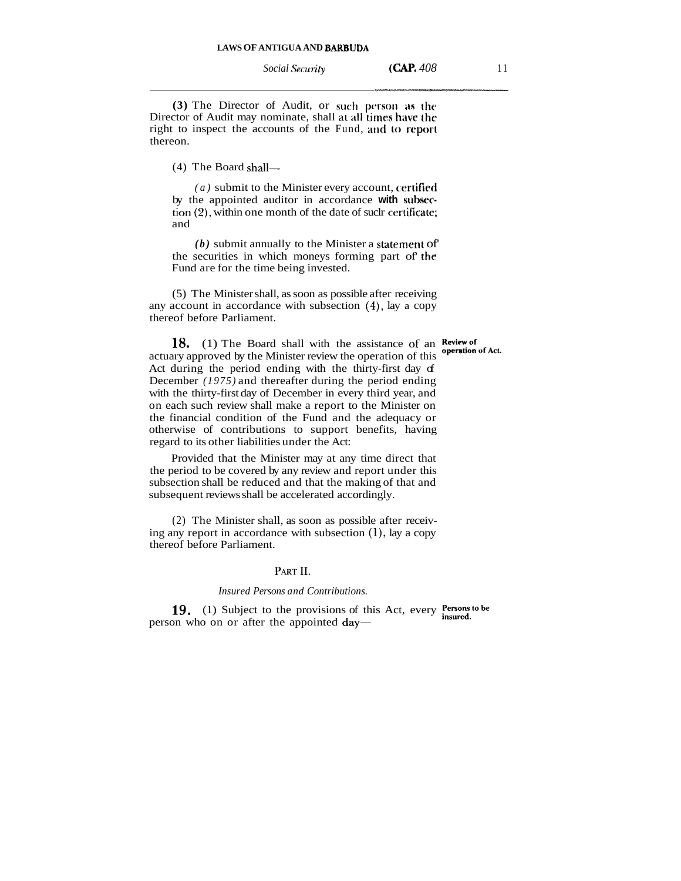*Social Security* **(CAP.** *408* 11

**(3)** The Director of Audit, or such person as the Director of Audit may nominate, shall at all times have the right to inspect the accounts of the Fund, **and to** report thereon.

 $(4)$  The Board shall-

*(a)* submit to the Minister every account, **ccrtifipd**  by the appointed auditor in accordance with subsection (Z), within one month of the date of suclr certificate; and

 $(b)$  submit annually to the Minister a statement of the securities in which moneys forming part of' **the**  Fund are for the time being invested.

(5) The Minister shall, as soon as possible after receiving any account in accordance with subsection (4), lay a copy thereof before Parliament.

**18.** (1) The Board shall with the assistance of an **Review of** actuary approved by the Minister review the operation of this **operation** of Act. Act during the period ending with the thirty-first day of December *(1975)* and thereafter during the period ending with the thirty-first day of December in every third year, and on each such review shall make a report to the Minister on the financial condition of the Fund and the adequacy or otherwise of contributions to support benefits, having regard to its other liabilities under the Act:

Provided that the Minister may at any time direct that the period to be covered by any review and report under this subsection shall be reduced and that the making of that and subsequent reviews shall be accelerated accordingly.

(2) The Minister shall, as soon as possible after receiving any report in accordance with subsection *(I),* lay a copy thereof before Parliament.

## PART II.

## *Insured Persons and Contributions.*

**19.** (1) Subject to the provisions of this Act, every **Persons to be** insured. person who on or after the appointed  $day-$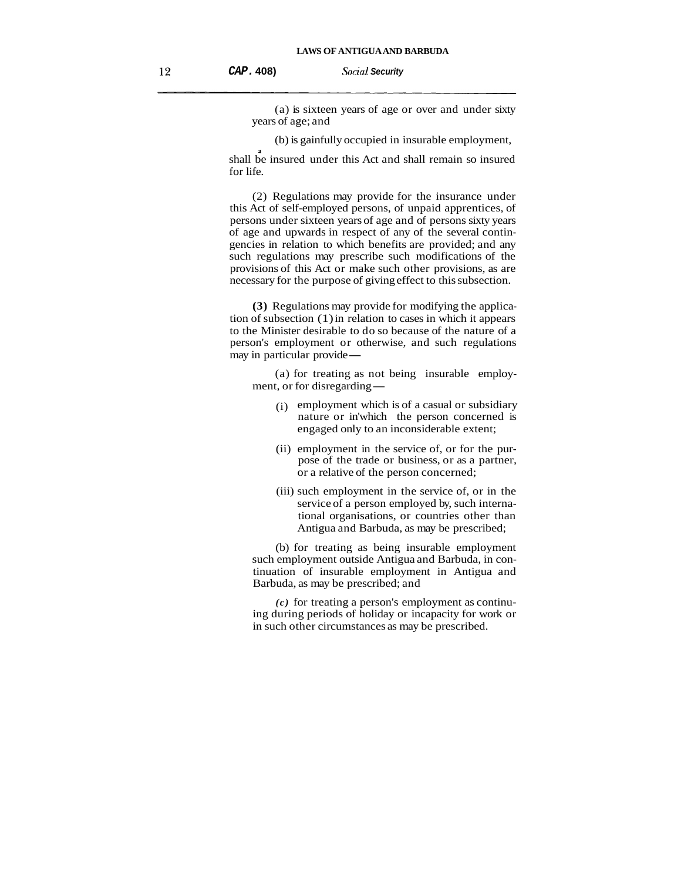(a) is sixteen years of age or over and under sixty years of age; and

(b) is gainfully occupied in insurable employment,

shall be insured under this Act and shall remain so insured for life.

(2) Regulations may provide for the insurance under this Act of self-employed persons, of unpaid apprentices, of persons under sixteen years of age and of persons sixty years of age and upwards in respect of any of the several contingencies in relation to which benefits are provided; and any such regulations may prescribe such modifications of the provisions of this Act or make such other provisions, as are necessary for the purpose of giving effect to this subsection.

**(3)** Regulations may provide for modifying the application of subsection (1) in relation to cases in which it appears to the Minister desirable to do so because of the nature of a person's employment or otherwise, and such regulations to the Minister desirable to do<br>person's employment or oth<br>may in particular provide—

(a) for treating as not being insurable employmay in particular provide—<br>(a) for treating as not<br>ment, or for disregarding—

- (i) employment which is of a casual or subsidiary nature or in'which the person concerned is engaged only to an inconsiderable extent;
- (ii) employment in the service of, or for the purpose of the trade or business, or as a partner, or a relative of the person concerned;
- (iii) such employment in the service of, or in the service of a person employed by, such international organisations, or countries other than Antigua and Barbuda, as may be prescribed;

(b) for treating as being insurable employment such employment outside Antigua and Barbuda, in continuation of insurable employment in Antigua and Barbuda, as may be prescribed; and

*(c)* for treating a person's employment as continuing during periods of holiday or incapacity for work or in such other circumstances as may be prescribed.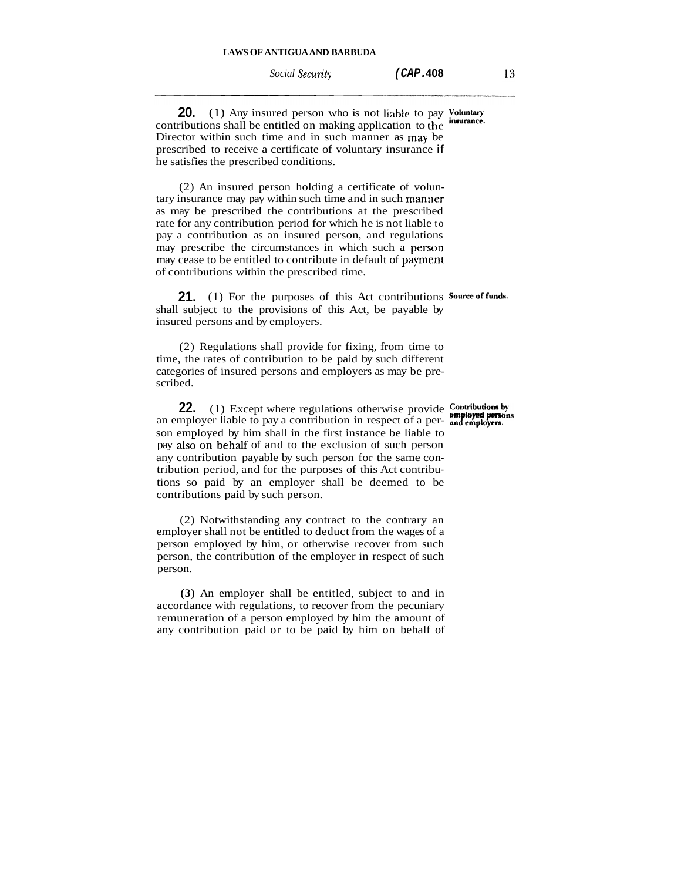**20.** (1) Any insured person who is not liable to pay Voluntary contributions shall be entitled on making application to the Director within such time and in such manner as may be prescribed to receive a certificate of voluntary insurance if he satisfies the prescribed conditions.

(2) An insured person holding a certificate of voluntary insurance may pay within such time and in such manner as may be prescribed the contributions at the prescribed rate for any contribution period for which he is not liable to pay a contribution as an insured person, and regulations may prescribe the circumstances in which such a person may cease to be entitled to contribute in default of payment of contributions within the prescribed time.

**21.** (1) For the purposes of this Act contributions Source of funds. shall subject to the provisions of this Act, be payable by insured persons and by employers.

(2) Regulations shall provide for fixing, from time to time, the rates of contribution to be paid by such different categories of insured persons and employers as may be prescribed. **22.** (1) Except where regulations otherwise provide to the rates of contribution to be paid by such different gories of insured persons and employers as may be pre-<br>ed. **22.** (1) Except where regulations otherwise provide

**22.** (1) Except where regulations otherwise provide **Contributions by** an employer liable to pay a contribution in respect of a per- and employers. son employed by him shall in the first instance be liable to pay also on behalf of and to the exclusion of such person any contribution payable by such person for the same contribution period, and for the purposes of this Act contributions so paid by an employer shall be deemed to be contributions paid by such person.

(2) Notwithstanding any contract to the contrary an employer shall not be entitled to deduct from the wages of a person employed by him, or otherwise recover from such person, the contribution of the employer in respect of such person.

**(3)** An employer shall be entitled, subject to and in accordance with regulations, to recover from the pecuniary remuneration of a person employed by him the amount of any contribution paid or to be paid by him on behalf of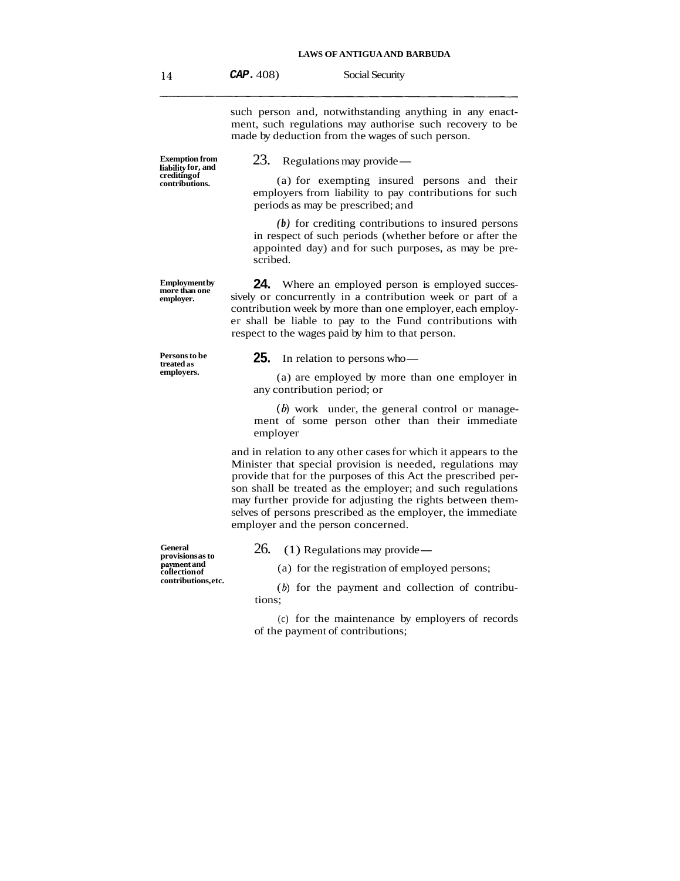such person and, notwithstanding anything in any enactment, such regulations may authorise such recovery to be made by deduction from the wages of such person.<br>
23. Regulations may provide—

**Exemption from liability for, and crediting of contributions.** 

**Employment by more than one employer.** 

**Persons to be treated as employers.** 

**General provisions as to payment and collection of contributions, etc.** 

(a) for exempting insured persons and their employers from liability to pay contributions for such periods as may be prescribed; and

*(b)* for crediting contributions to insured persons in respect of such periods (whether before or after the appointed day) and for such purposes, as may be prescribed.

**24.** Where an employed person is employed successively or concurrently in a contribution week or part of a contribution week by more than one employer, each employer shall be liable to pay to the Fund contributions with respect to the wages paid by him to that person.<br>**25.** In relation to persons who-

(a) are employed by more than one employer in any contribution period; or

 $(b)$  work under, the general control or management of some person other than their immediate employer

and in relation to any other cases for which it appears to the Minister that special provision is needed, regulations may provide that for the purposes of this Act the prescribed person shall be treated as the employer; and such regulations may further provide for adjusting the rights between themselves of persons prescribed as the employer, the immediate employer and the person concerned.

26. (1) Regulations may provide —

(a) for the registration of employed persons;

 $(b)$  for the payment and collection of contributions;

(c) for the maintenance by employers of records of the payment of contributions;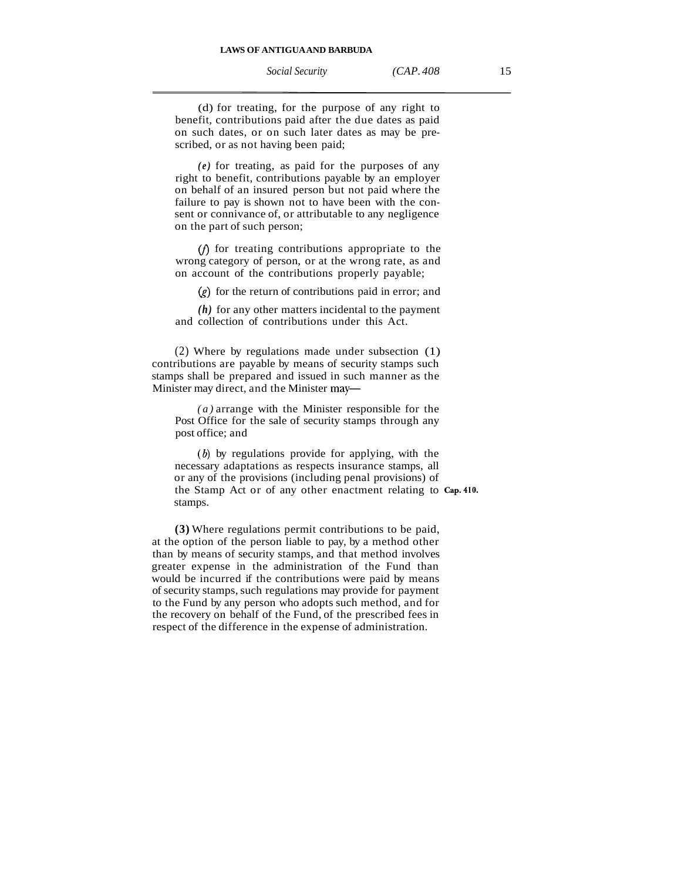*Social Security (CAP. 408* 15

(d) for treating, for the purpose of any right to benefit, contributions paid after the due dates as paid on such dates, or on such later dates as may be prescribed, or as not having been paid;

*(e)* for treating, as paid for the purposes of any right to benefit, contributions payable by an employer on behalf of an insured person but not paid where the failure to pay is shown not to have been with the consent or connivance of, or attributable to any negligence on the part of such person;

 $(f)$  for treating contributions appropriate to the wrong category of person, or at the wrong rate, as and on account of the contributions properly payable;

 $(g)$  for the return of contributions paid in error; and

*(h)* for any other matters incidental to the payment and collection of contributions under this Act.

(2) Where by regulations made under subsection (1) contributions are payable by means of security stamps such stamps shall be prepared and issued in such manner as the Minister may direct, and the Minister may-

*(a)* arrange with the Minister responsible for the Post Office for the sale of security stamps through any post office; and

**(6)** by regulations provide for applying, with the necessary adaptations as respects insurance stamps, all or any of the provisions (including penal provisions) of the Stamp Act or of any other enactment relating to **Cap.410.**  stamps.

**(3)** Where regulations permit contributions to be paid, at the option of the person liable to pay, by a method other than by means of security stamps, and that method involves greater expense in the administration of the Fund than would be incurred if the contributions were paid by means of security stamps, such regulations may provide for payment to the Fund by any person who adopts such method, and for the recovery on behalf of the Fund, of the prescribed fees in respect of the difference in the expense of administration.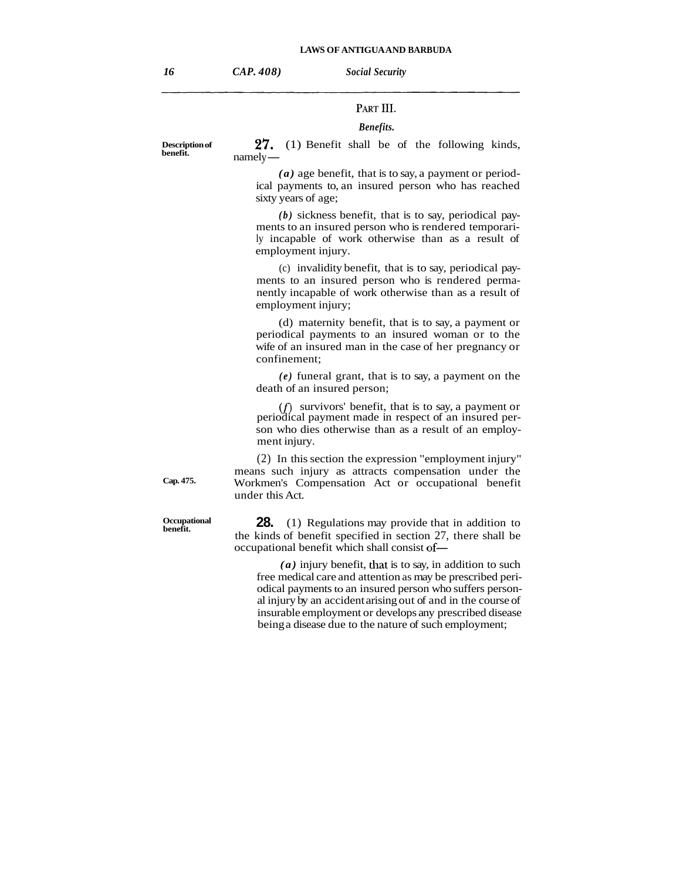## PART III

#### *Benefits.*

**2'7.** (1) Benefit shall be of the following kinds,  $\frac{27.}{\text{namely}}$ 

*(a)* age benefit, that is to say, a payment or periodical payments to, an insured person who has reached sixty years of age;

*(b)* sickness benefit, that is to say, periodical payments to an insured person who is rendered temporarily incapable of work otherwise than as a result of employment injury.

(c) invalidity benefit, that is to say, periodical payments to an insured person who is rendered permanently incapable of work otherwise than as a result of employment injury;

(d) maternity benefit, that is to say, a payment or periodical payments to an insured woman or to the wife of an insured man in the case of her pregnancy or confinement;

*(e)* funeral grant, that is to say, a payment on the death of an insured person;

 $(f)$  survivors' benefit, that is to say, a payment or periodical payment made in respect of an insured person who dies otherwise than as a result of an employment injury.

(2) In this section the expression "employment injury" means such injury as attracts compensation under the **Cap. 475.** Workmen's Compensation Act or occupational benefit under this Act.

> **28.** (1) Regulations may provide that in addition to the kinds of benefit specified in section 27, there shall be occupational benefit which shall consist of-

*(a)* injury benefit, that is to say, in addition to such free medical care and attention as may be prescribed periodical payments to an insured person who suffers personal injury by an accident arising out of and in the course of insurable employment or develops any prescribed disease being a disease due to the nature of such employment;

**Occupational** 

**Description of benefit.**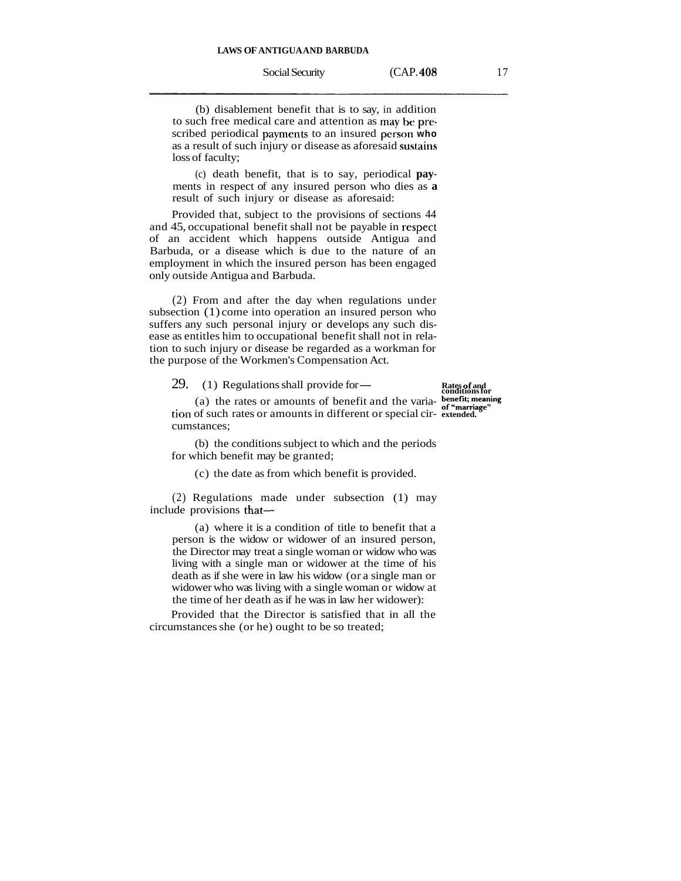(b) disablement benefit that is to say, in addition to such free medical care and attention as **may bc** prrscribed periodical payments to an insured person who as a result of such injury or disease as aforesaid sustains loss of faculty;

(c) death benefit, that is to say, periodical **pay**ments in respect of any insured person who dies as **a**  result of such injury or disease as aforesaid:

Provided that, subject to the provisions of sections 44 and 45, occupational benefit shall not be payable in respecl of an accident which happens outside Antigua and Barbuda, or a disease which is due to the nature of an employment in which the insured person has been engaged only outside Antigua and Barbuda.

(2) From and after the day when regulations under subsection (1) come into operation an insured person who suffers any such personal injury or develops any such disease as entitles him to occupational benefit shall not in relation to such injury or disease be regarded as a workman for the purpose of the Workmen's Compensation Act.<br>
29. (1) Regulations shall provide for-<br> **Rates of and conditions for** 

(1) Regulations shall provide for—<br>
(a) the rates or amounts of benefit and the varia-<br>  $\frac{\text{bedefit, meaning}}{\text{ber, traininge}}$ tion of such rates or amounts in different or special cir- **extended.**  cumstances;

(b) the conditions subject to which and the periods for which benefit may be granted;

(c) the date as from which benefit is provided.

(2) Regulations made under subsection (1) may include provisions that—

(a) where it is a condition of title to benefit that a person is the widow or widower of an insured person, the Director may treat a single woman or widow who was living with a single man or widower at the time of his death as if she were in law his widow (or a single man or widower who was living with a single woman or widow at the time of her death as if he was in law her widower):

Provided that the Director is satisfied that in all the circumstances she (or he) ought to be so treated;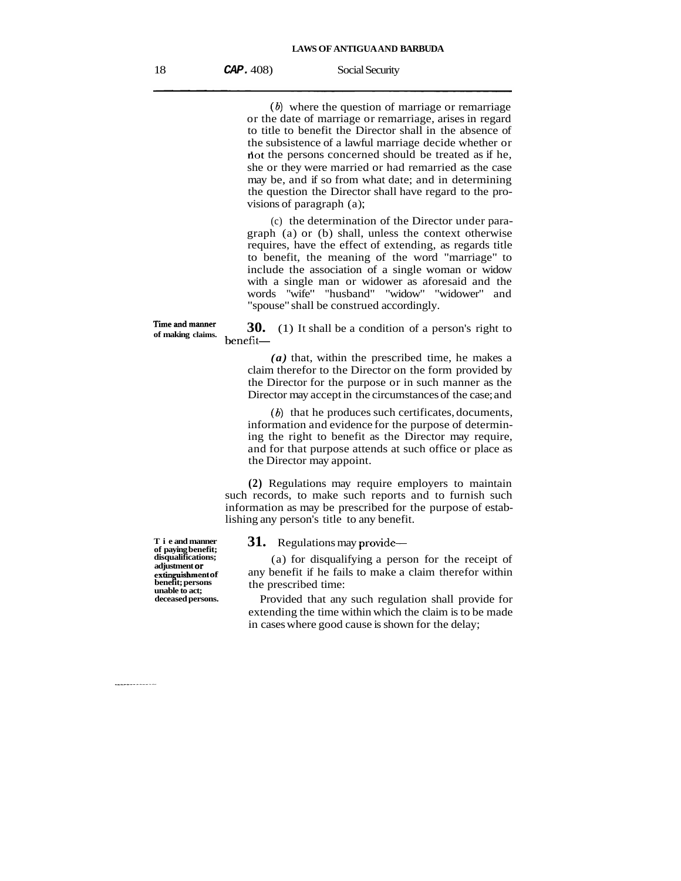*(b)* where the question of marriage or remarriage or the date of marriage or remarriage, arises in regard to title to benefit the Director shall in the absence of the subsistence of a lawful marriage decide whether or not the persons concerned should be treated as if he, she or they were married or had remarried as the case may be, and if so from what date; and in determining the question the Director shall have regard to the provisions of paragraph (a);

(c) the determination of the Director under paragraph (a) or (b) shall, unless the context otherwise requires, have the effect of extending, as regards title to benefit, the meaning of the word "marriage" to include the association of a single woman or widow with a single man or widower as aforesaid and the words "wife" "husband" "widow" "widower" and "spouse" shall be construed accordingly.

Time and manner **30.** (1) It shall be a condition of a person's right to benefit—

*(a)* that, within the prescribed time, he makes a claim therefor to the Director on the form provided by the Director for the purpose or in such manner as the Director may accept in the circumstances of the case; and

 $(b)$  that he produces such certificates, documents, information and evidence for the purpose of determining the right to benefit as the Director may require, and for that purpose attends at such office or place as the Director may appoint.

**(2)** Regulations may require employers to maintain such records, to make such reports and to furnish such information as may be prescribed for the purpose of establishing any person's title to any benefit.

**T** i e and manner **31.** Regulations may provide-

(a) for disqualifying a person for the receipt of any benefit if he fails to make a claim therefor within

Provided that any such regulation shall provide for extending the time within which the claim is to be made in cases where good cause is shown for the delay;

**disqualifications; adjustment or<br>extinguishment of benefit; persons unable to act;** the prescribed time:<br> **deceased persons.** Provided that any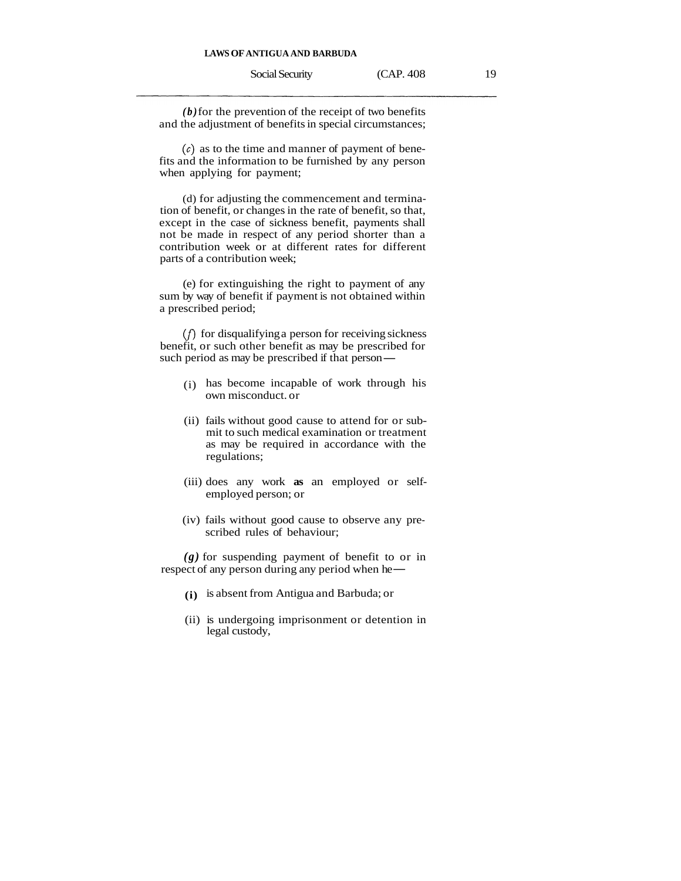*(b)* for the prevention of the receipt of two benefits and the adjustment of benefits in special circumstances;

 $(c)$  as to the time and manner of payment of benefits and the information to be furnished by any person when applying for payment;

(d) for adjusting the commencement and termination of benefit, or changes in the rate of benefit, so that, except in the case of sickness benefit, payments shall not be made in respect of any period shorter than a contribution week or at different rates for different parts of a contribution week;

(e) for extinguishing the right to payment of any sum by way of benefit if payment is not obtained within a prescribed period;

(f) for disqualifying a person for receiving sickness benefit, or such other benefit as may be prescribed for  $(f)$  for disqualifying a person for receiving sick<br>benefit, or such other benefit as may be prescribed<br>such period as may be prescribed if that person—

- (i) has become incapable of work through his own misconduct. or
- (ii) fails without good cause to attend for or submit to such medical examination or treatment as may be required in accordance with the regulations;
- (iii) does any work **as** an employed or selfemployed person; or
- (iv) fails without good cause to observe any prescribed rules of behaviour;

*(g)* for suspending payment of benefit to or in respect of any person during any period when he—

- **(i)** is absent from Antigua and Barbuda; or
- (ii) is undergoing imprisonment or detention in legal custody,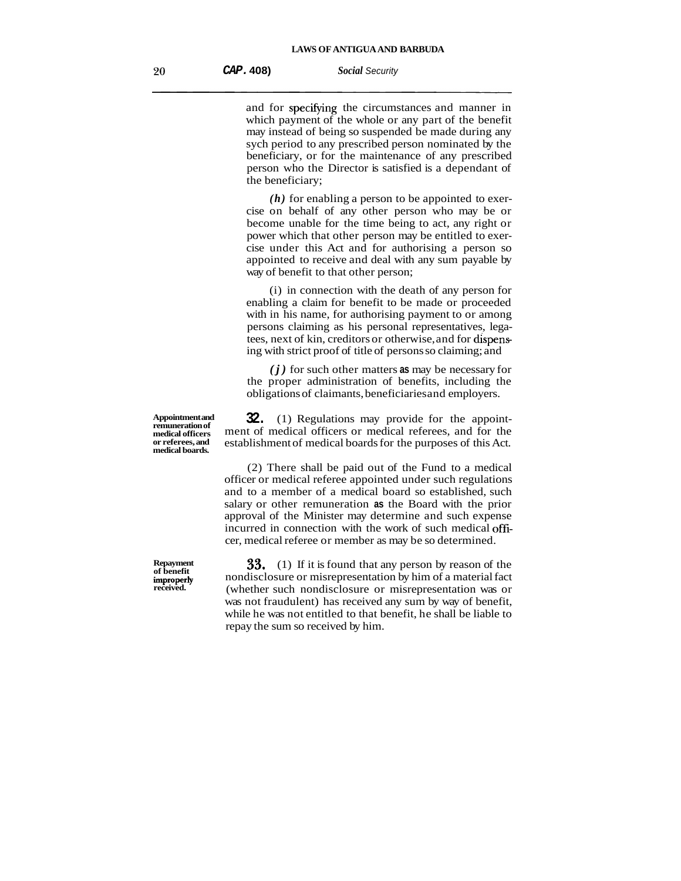and for specifying the circumstances and manner in which payment of the whole or any part of the benefit may instead of being so suspended be made during any sych period to any prescribed person nominated by the beneficiary, or for the maintenance of any prescribed person who the Director is satisfied is a dependant of the beneficiary;

*(h)* for enabling a person to be appointed to exercise on behalf of any other person who may be or become unable for the time being to act, any right or power which that other person may be entitled to exercise under this Act and for authorising a person so appointed to receive and deal with any sum payable by way of benefit to that other person;

(i) in connection with the death of any person for enabling a claim for benefit to be made or proceeded with in his name, for authorising payment to or among persons claiming as his personal representatives, legatees, next of kin, creditors or otherwise, and for dispens ing with strict proof of title of persons so claiming; and

*(j)* for such other matters **as** may be necessary for the proper administration of benefits, including the obligations of claimants, beneficiaries and employers.

**32.** (1) Regulations may provide for the appointment of medical officers or medical referees, and for the establishment of medical boards for the purposes of this Act.

(2) There shall be paid out of the Fund to a medical officer or medical referee appointed under such regulations and to a member of a medical board so established, such salary or other remuneration **as** the Board with the prior approval of the Minister may determine and such expense incurred in connection with the work of such medical officer, medical referee or member as may be so determined.

**33.** (1) If it is found that any person by reason of the nondisclosure or misrepresentation by him of a material fact (whether such nondisclosure or misrepresentation was or was not fraudulent) has received any sum by way of benefit, while he was not entitled to that benefit, he shall be liable to repay the sum so received by him.

**Appointment and remuneration of**  or referees, and **medical boards.**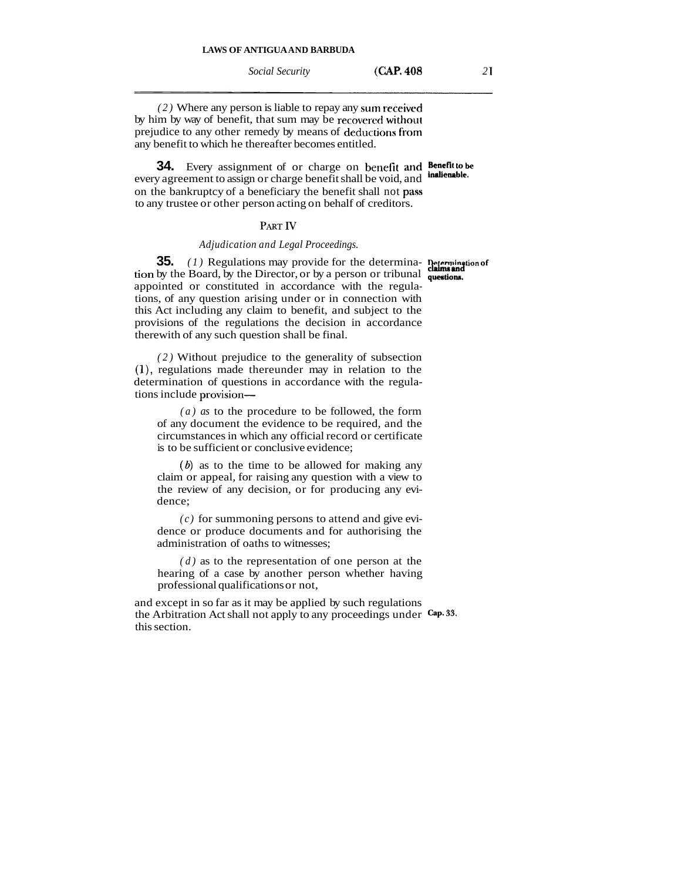*(2)* Where any person is liable to repay any sum received by him by way of benefit, that sum may be recovered without prejudice to any other remedy by means of deductions from any benefit to which he thereafter becomes entitled.

**34.** Every assignment of or charge on benefit and **Benefit to be uncreased** to **a** *companist to action on choices benefit al ill served* **in the <b>***l i l nl* every agreement to assign or charge benefit shall be void, and on the bankruptcy of a beneficiary the benefit shall not **pass**  to any trustee or other person acting on behalf of creditors.

## PART IV

## *Adjudication and Legal Proceedings.*

**35.** *(1)* Regulations may provide for the determina- **Determination of tion** by the Board, by the Director, or by a person or tribunal **questions**. appointed or constituted in accordance with the regulations, of any question arising under or in connection with this Act including any claim to benefit, and subject to the provisions of the regulations the decision in accordance therewith of any such question shall be final.

*(2)* Without prejudice to the generality of subsection *(l),* regulations made thereunder may in relation to the determination of questions in accordance with the regulations include provision-

*(a) as* to the procedure to be followed, the form of any document the evidence to be required, and the circumstances in which any official record or certificate is to be sufficient or conclusive evidence;

*(6)* as to the time to be allowed for making any claim or appeal, for raising any question with a view to the review of any decision, or for producing any evidence;

*(c)* for summoning persons to attend and give evidence or produce documents and for authorising the administration of oaths to witnesses;

*(d)* as to the representation of one person at the hearing of a case by another person whether having professional qualifications or not,

and except in so far as it may be applied by such regulations the Arbitration Act shall not apply to any proceedings under **Cap. 33.**  this section.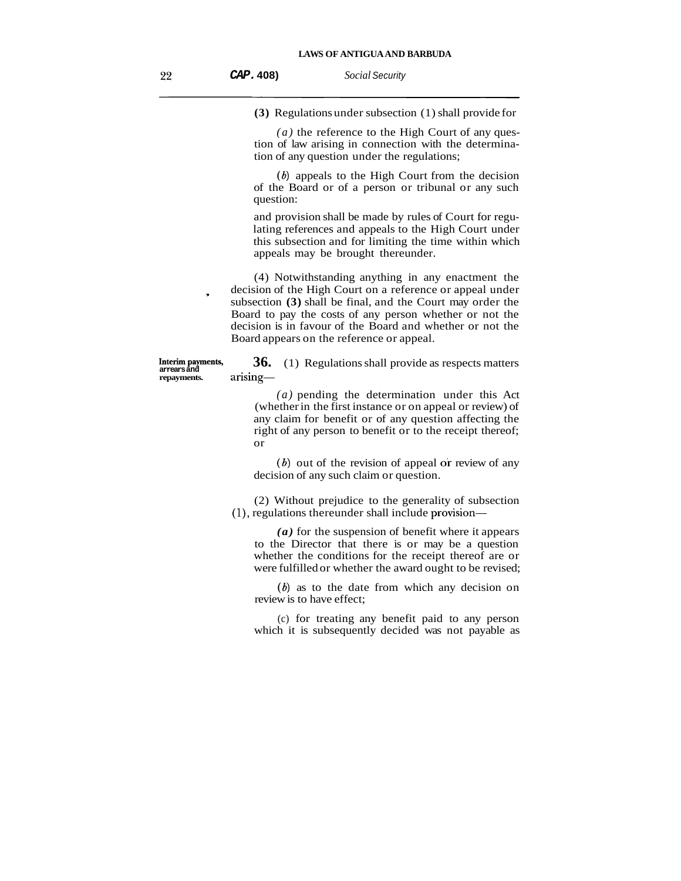**(3)** Regulations under subsection (1) shall provide for

*(a)* the reference to the High Court of any question of law arising in connection with the determination of any question under the regulations;

 $(b)$  appeals to the High Court from the decision of the Board or of a person or tribunal or any such question:

and provision shall be made by rules of Court for regulating references and appeals to the High Court under this subsection and for limiting the time within which appeals may be brought thereunder.

(4) Notwithstanding anything in any enactment the decision of the High Court on a reference or appeal under subsection **(3)** shall be final, and the Court may order the Board to pay the costs of any person whether or not the decision is in favour of the Board and whether or not the Board appears on the reference or appeal.

Interim payments, **36.** (1) Regulations shall provide as respects matters arrears and **a** arrising arising-

> *(a)* pending the determination under this Act (whether in the first instance or on appeal or review) of any claim for benefit or of any question affecting the right of any person to benefit or to the receipt thereof; or

> $(b)$  out of the revision of appeal or review of any decision of any such claim or question.

(2) Without prejudice to the generality of subsection (I), regulations thereunder shall include provision-

*(a)* for the suspension of benefit where it appears to the Director that there is or may be a question whether the conditions for the receipt thereof are or were fulfilled or whether the award ought to be revised;

(6) as to the date from which any decision on review is to have effect;

(c) for treating any benefit paid to any person which it is subsequently decided was not payable as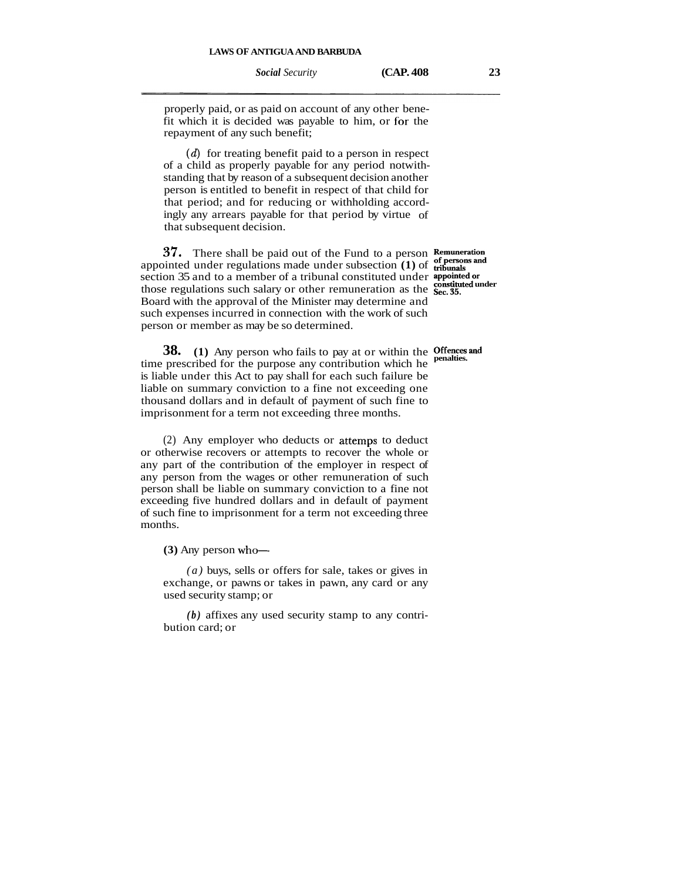properly paid, or as paid on account of any other benefit which it is decided was payable to him, or for the repayment of any such benefit;

 $(d)$  for treating benefit paid to a person in respect of a child as properly payable for any period notwithstanding that by reason of a subsequent decision another person is entitled to benefit in respect of that child for that period; and for reducing or withholding accordingly any arrears payable for that period by virtue of that subsequent decision.

**37.** There shall be paid out of the Fund to a person Remuneration appointed under regulations made under subsection **(1)** of **tribunals** section 35 and to a member of a tribunal constituted under **appointed or** those regulations such salary or other remuneration as the **Sec. 35. Possituted under** Board with the approval of the Minister may determine and such expenses incurred in connection with the work of such person or member as may be so determined.

**38.** (1) Any person who fails to pay at or within the Offences and time prescribed for the purpose any contribution which he penalties. is liable under this Act to pay shall for each such failure be liable on summary conviction to a fine not exceeding one thousand dollars and in default of payment of such fine to imprisonment for a term not exceeding three months.

(2) Any employer who deducts or attemps to deduct or otherwise recovers or attempts to recover the whole or any part of the contribution of the employer in respect of any person from the wages or other remuneration of such person shall be liable on summary conviction to a fine not exceeding five hundred dollars and in default of payment of such fine to imprisonment for a term not exceeding three months.

 $(3)$  Any person who-

*(a)* buys, sells or offers for sale, takes or gives in exchange, or pawns or takes in pawn, any card or any used security stamp; or

*(b)* affixes any used security stamp to any contribution card; or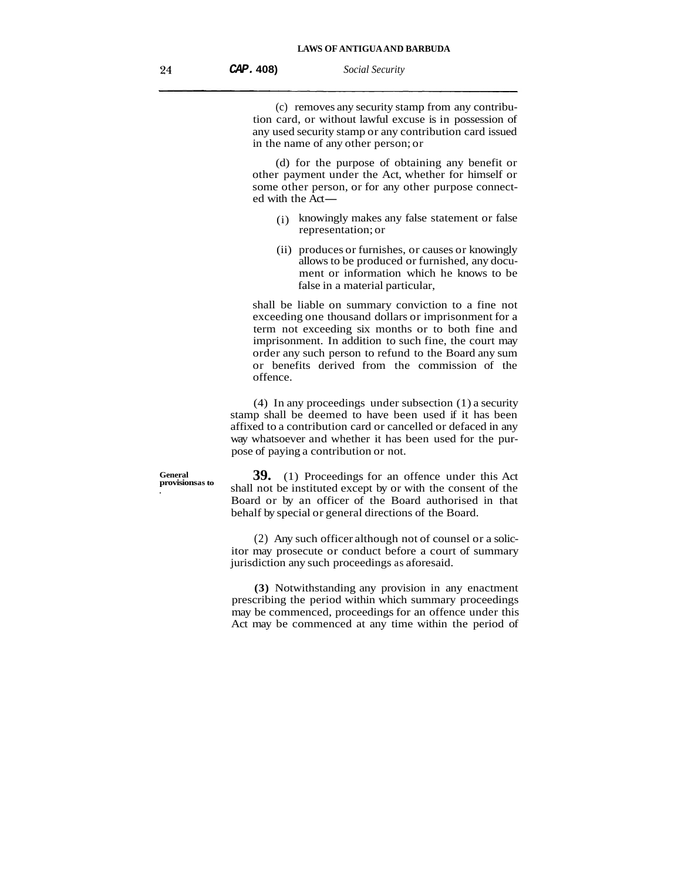| CAP. 408) | Social Security |
|-----------|-----------------|
|-----------|-----------------|

(c) removes any security stamp from any contribution card, or without lawful excuse is in possession of any used security stamp or any contribution card issued in the name of any other person; or

(d) for the purpose of obtaining any benefit or other payment under the Act, whether for himself or some other person, or for any other purpose connected with the Act some other person, or for any other purpose connected with the Act—

- (i) knowingly makes any false statement or false representation; or
- (ii) produces or furnishes, or causes or knowingly allows to be produced or furnished, any document or information which he knows to be false in a material particular.

shall be liable on summary conviction to a fine not exceeding one thousand dollars or imprisonment for a term not exceeding six months or to both fine and imprisonment. In addition to such fine, the court may order any such person to refund to the Board any sum or benefits derived from the commission of the offence.

(4) In any proceedings under subsection (1) a security stamp shall be deemed to have been used if it has been affixed to a contribution card or cancelled or defaced in any way whatsoever and whether it has been used for the purpose of paying a contribution or not.

**39.** (1) Proceedings for an offence under this Act **.** shall not be instituted except by or with the consent of the Board or by an officer of the Board authorised in that behalf by special or general directions of the Board.

> (2) Any such officer although not of counsel or a solicitor may prosecute or conduct before a court of summary jurisdiction any such proceedings as aforesaid.

> **(3)** Notwithstanding any provision in any enactment prescribing the period within which summary proceedings may be commenced, proceedings for an offence under this Act may be commenced at any time within the period of

**General**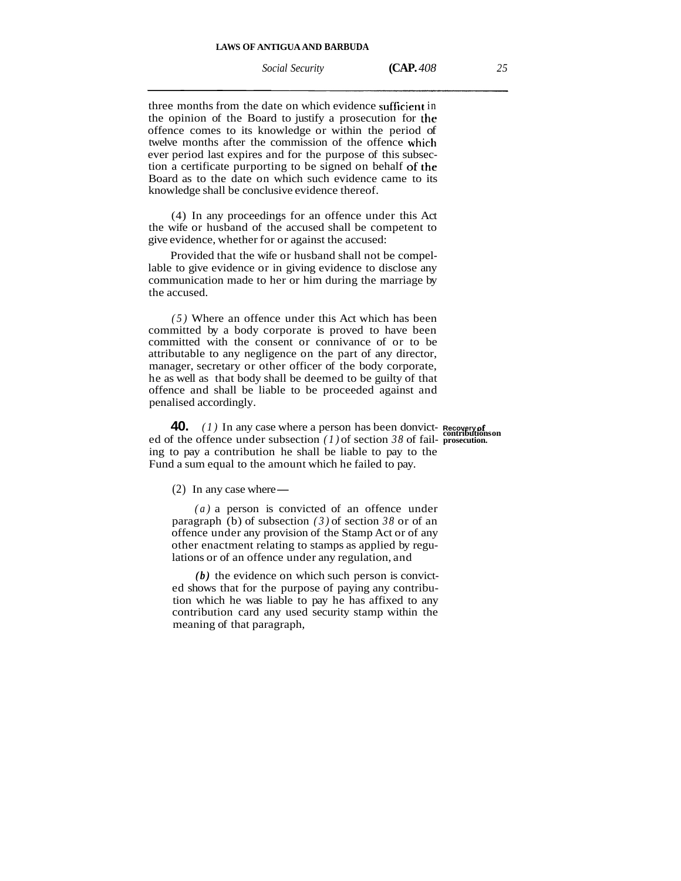*Social Security* **(CAP.** *408 25* 

three months from the date on which evidence sufficient in the opinion of the Board to justify a prosecution for **the**  offence comes to its knowledge or within the period of twelve months after the commission of the offence which ever period last expires and for the purpose of this subsection a certificate purporting to be signed on behalf OF **the**  Board as to the date on which such evidence came to its knowledge shall be conclusive evidence thereof.

(4) In any proceedings for an offence under this Act the wife or husband of the accused shall be competent to give evidence, whether for or against the accused:

Provided that the wife or husband shall not be compellable to give evidence or in giving evidence to disclose any communication made to her or him during the marriage by the accused.

*(5)* Where an offence under this Act which has been committed by a body corporate is proved to have been committed with the consent or connivance of or to be attributable to any negligence on the part of any director, manager, secretary or other officer of the body corporate, he as well as that body shall be deemed to be guilty of that offence and shall be liable to be proceeded against and penalised accordingly.

**40.** *(1)* In any case where a person has been donvict- **Recovery of** ed of the offence under subsection *(1)* of section *38* of fail- **prosecution**. ing to pay a contribution he shall be liable to pay to the Fund a sum equal to the amount which he failed to pay.<br>
(2) In any case where —

*(a)* a person is convicted of an offence under paragraph (b) of subsection *(3)* of section *38* or of an offence under any provision of the Stamp Act or of any other enactment relating to stamps as applied by regulations or of an offence under any regulation, and

*(b)* the evidence on which such person is convicted shows that for the purpose of paying any contribution which he was liable to pay he has affixed to any contribution card any used security stamp within the meaning of that paragraph,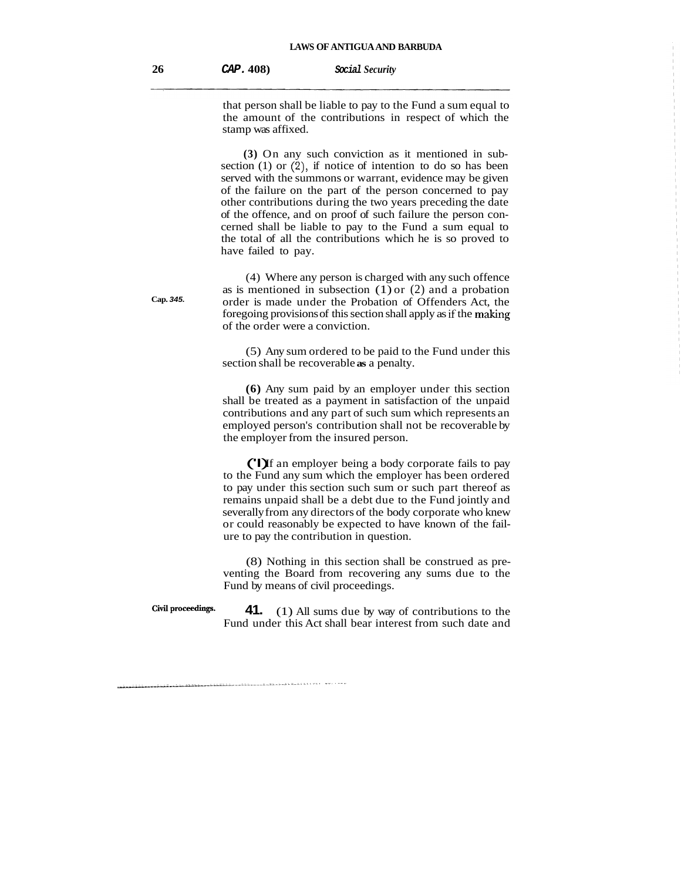that person shall be liable to pay to the Fund a sum equal to the amount of the contributions in respect of which the stamp was affixed.

**(3)** On any such conviction as it mentioned in subsection  $(1)$  or  $(2)$ , if notice of intention to do so has been served with the summons or warrant, evidence may be given of the failure on the part of the person concerned to pay other contributions during the two years preceding the date of the offence, and on proof of such failure the person concerned shall be liable to pay to the Fund a sum equal to the total of all the contributions which he is so proved to have failed to pay.

(4) Where any person is charged with any such offence as is mentioned in subsection  $(1)$  or  $(2)$  and a probation **Cap. 345.** order is made under the Probation of Offenders Act, the foregoing provisions of this section shall apply as **if** the making of the order were a conviction.

> (5) Any sum ordered to be paid to the Fund under this section shall be recoverable **as** a penalty.

> **(6)** Any sum paid by an employer under this section shall be treated as a payment in satisfaction of the unpaid contributions and any part of such sum which represents an employed person's contribution shall not be recoverable by the employer from the insured person.

> ('I) If an employer being a body corporate fails to pay to the Fund any sum which the employer has been ordered to pay under this section such sum or such part thereof as remains unpaid shall be a debt due to the Fund jointly and severally from any directors of the body corporate who knew or could reasonably be expected to have known of the failure to pay the contribution in question.

> (8) Nothing in this section shall be construed as preventing the Board from recovering any sums due to the Fund by means of civil proceedings.

**civil proceedings.**  $\bullet$  **<b>41.** (1) All sums due by way of contributions to the Fund under this Act shall bear interest from such date and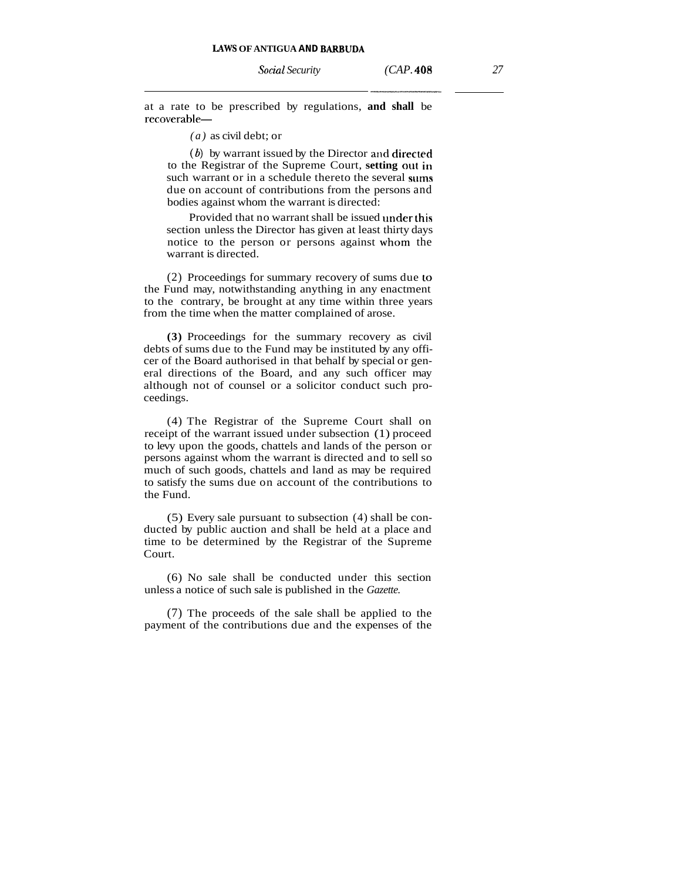at a rate to be prescribed by regulations, **and shall** be recoverable-

*(a)* as civil debt; or

(6) by warrant issued by the Director and directed to the Registrar of the Supreme Court, **setting out irr**  such warrant or in a schedule thereto the several **stirns**  due on account of contributions from the persons and bodies against whom the warrant is directed:

Provided that no warrant shall be issued under this section unless the Director has given at least thirty days notice to the person or persons against whom the warrant is directed.

(2) Proceedings for summary recovery of sums due **to**  the Fund may, notwithstanding anything in any enactment to the contrary, be brought at any time within three years from the time when the matter complained of arose.

**(3)** Proceedings for the summary recovery as civil debts of sums due to the Fund may be instituted by any officer of the Board authorised in that behalf by special or general directions of the Board, and any such officer may although not of counsel or a solicitor conduct such proceedings.

(4) The Registrar of the Supreme Court shall on receipt of the warrant issued under subsection (1) proceed to levy upon the goods, chattels and lands of the person or persons against whom the warrant is directed and to sell so much of such goods, chattels and land as may be required to satisfy the sums due on account of the contributions to the Fund.

(5) Every sale pursuant to subsection (4) shall be conducted by public auction and shall be held at a place and time to be determined by the Registrar of the Supreme Court.

(6) No sale shall be conducted under this section unless a notice of such sale is published in the *Gazette.* 

(7) The proceeds of the sale shall be applied to the payment of the contributions due and the expenses of the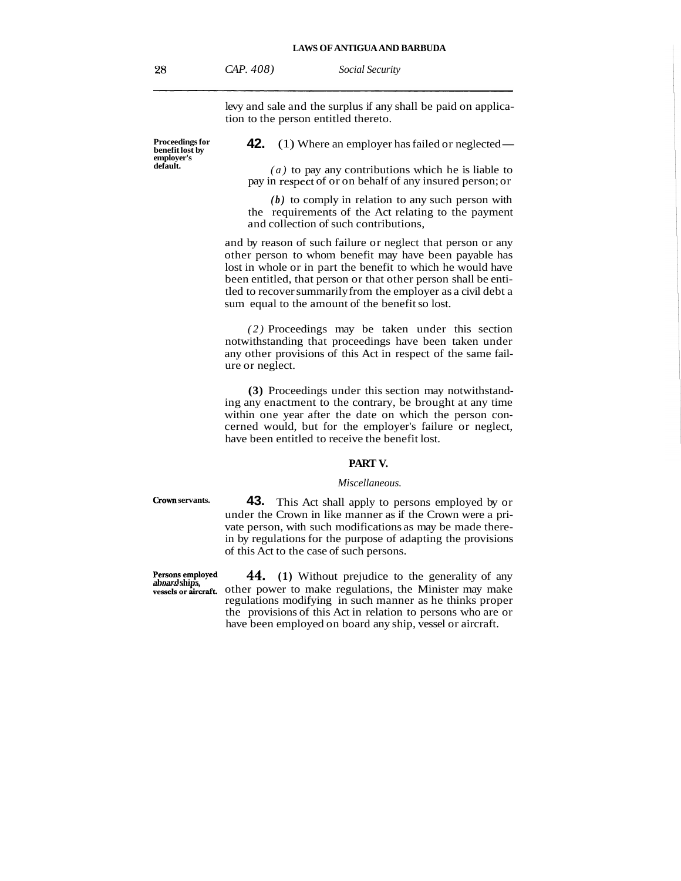| CAP. 408) | <b>Social Security</b> |
|-----------|------------------------|
|-----------|------------------------|

levy and sale and the surplus if any shall be paid on application to the person entitled thereto.

**Proceedings for employer's** 

**42.** (1) Where an employer has failed or neglected —

 $\alpha$ ) to pay any contributions which he is liable to pay in respect of or on behalf of any insured person; or

*(b)* to comply in relation to any such person with the requirements of the Act relating to the payment and collection of such contributions,

and by reason of such failure or neglect that person or any other person to whom benefit may have been payable has lost in whole or in part the benefit to which he would have been entitled, that person or that other person shall be entitled to recover summarily from the employer as a civil debt a sum equal to the amount of the benefit so lost.

*(2)* Proceedings may be taken under this section notwithstanding that proceedings have been taken under any other provisions of this Act in respect of the same failure or neglect.

**(3)** Proceedings under this section may notwithstanding any enactment to the contrary, be brought at any time within one year after the date on which the person concerned would, but for the employer's failure or neglect, have been entitled to receive the benefit lost.

#### **PART V.**

## *Miscellaneous.*

**crown servants. 43.** This Act shall apply to persons employed by or under the Crown in like manner as if the Crown were a private person, with such modifications as may be made therein by regulations for the purpose of adapting the provisions of this Act to the case of such persons.

**Persons employed 44. (1)** Without prejudice to the generality of any **aboard ships**, **vessels or aircraft**. Other power to make regulations, the Minister may make regulations modifying in such manner as he thinks proper the provisions of this Act in relation to persons who are or have been employed on board any ship, vessel or aircraft.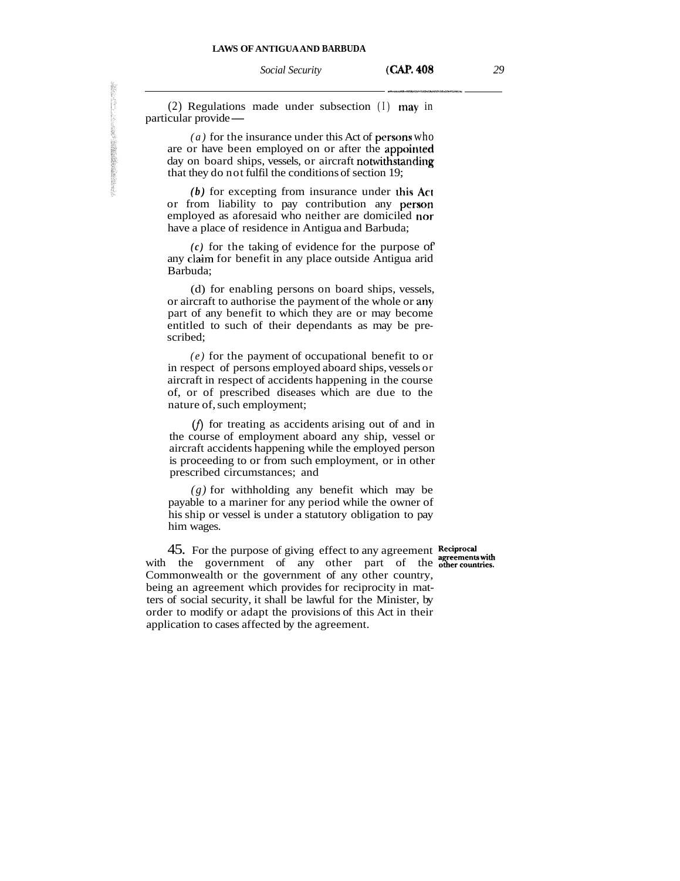*Social Security* **<b>(CAP. 408** 29

 $(2)$  Regulations made under subsection  $(I)$  may in particular provide —

*(a)* for the insurance under this Act of persons who are or have been employed on or after the **appoirrted**  day on board ships, vessels, or aircraft notwithstanding that they do not fulfil the conditions of section 19;

*(b)* for excepting from insurance under **this Act**  or from liability to pay contribution any person employed as aforesaid who neither are domiciled nor have a place of residence in Antigua and Barbuda;

 $(c)$  for the taking of evidence for the purpose of any claim for benefit in any place outside Antigua arid Barbuda;

(d) for enabling persons on board ships, vessels, or aircraft to authorise the payment of the whole or ariy part of any benefit to which they are or may become entitled to such of their dependants as may be prescribed;

*(e)* for the payment of occupational benefit to or in respect of persons employed aboard ships, vessels or aircraft in respect of accidents happening in the course of, or of prescribed diseases which are due to the nature of, such employment;

 $(f)$  for treating as accidents arising out of and in the course of employment aboard any ship, vessel or aircraft accidents happening while the employed person is proceeding to or from such employment, or in other prescribed circumstances; and

*(g)* for withholding any benefit which may be payable to a mariner for any period while the owner of his ship or vessel is under a statutory obligation to pay him wages.

45. For the purpose of giving effect to any agreement Reciprocal agreements with with the government of any other part of the **other countries**. Commonwealth or the government of any other country, being an agreement which provides for reciprocity in matters of social security, it shall be lawful for the Minister, by order to modify or adapt the provisions of this Act in their application to cases affected by the agreement.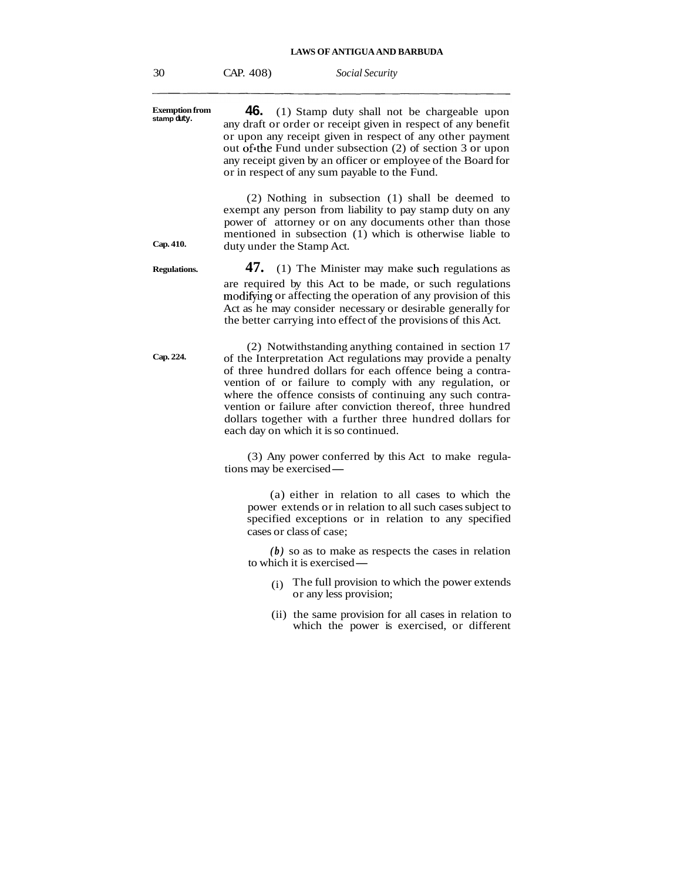30 CAP. 408) *Social Security* 

**Exemption from stamp duty. 46.** (1) Stamp duty shall not be chargeable upon any draft or order or receipt given in respect of any benefit or upon any receipt given in respect of any other payment out of the Fund under subsection  $(2)$  of section 3 or upon any receipt given by an officer or employee of the Board for or in respect of any sum payable to the Fund. (2) Nothing in subsection (1) shall be deemed to exempt any person from liability to pay stamp duty on any power of attorney or on any documents other than those mentioned in subsection (1) which is otherwise liable to **Cap. 410.** duty under the Stamp Act. **Regulations.** 47. (1) The Minister may make such regulations as are required by this Act to be made, or such regulations modifying or affecting the operation of any provision of this Act as he may consider necessary or desirable generally for the better carrying into effect of the provisions of this Act. (2) Notwithstanding anything contained in section 17 **Cap. 224.** of the Interpretation Act regulations may provide a penalty of three hundred dollars for each offence being a contravention of or failure to comply with any regulation, or where the offence consists of continuing any such contravention or failure after conviction thereof, three hundred dollars together with a further three hundred dollars for each day on which it is so continued. (3) Any power conferred by this Act to make regula-(3) Any power conferse<br>tions may be exercised— (a) either in relation to all cases to which the power extends or in relation to all such cases subject to specified exceptions or in relation to any specified cases or class of case; *(b)* so as to make as respects the cases in relation to which it is exercised — (i) The full provision to which the power extends or any less provision; (ii) the same provision for all cases in relation to which the power is exercised, or different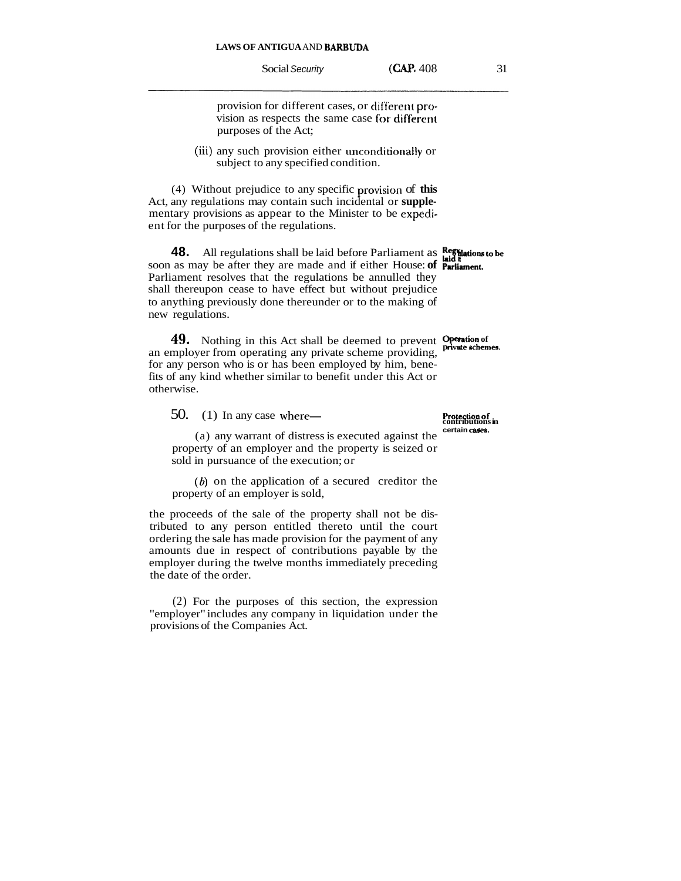provision for different cases, or different provision as respects the same case for different purposes of the Act;

(iii) any such provision either unconditionally or subject to any specified condition.

(4) Without prejudice to any specific provision of this Act, any regulations may contain such incidental or **supple**mentary provisions as appear to the Minister to be **expcdi**ent for the purposes of the regulations.

**48.** All regulations shall be laid before Parliament as **Regulations to be** soon as may be after they are made and if either House: **of Parliament**. Parliament resolves that the regulations be annulled they shall thereupon cease to have effect but without prejudice to anything previously done thereunder or to the making of new regulations.

**49.** Nothing in this Act shall be deemed to prevent **Operation of private schemes**. an employer from operating any private scheme providing, for any person who is or has been employed by him, benefits of any kind whether similar to benefit under this Act or otherwise.

50. (1) In any case where-<br> **Protection of contributions in the contributions in**  $\frac{1}{2}$ 

(a) any warrant of distress is executed against the property of an employer and the property is seized or sold in pursuance of the execution; or

*(6)* on the application of a secured creditor the property of an employer is sold,

the proceeds of the sale of the property shall not be distributed to any person entitled thereto until the court ordering the sale has made provision for the payment of any amounts due in respect of contributions payable by the employer during the twelve months immediately preceding the date of the order.

(2) For the purposes of this section, the expression "employer" includes any company in liquidation under the provisions of the Companies Act.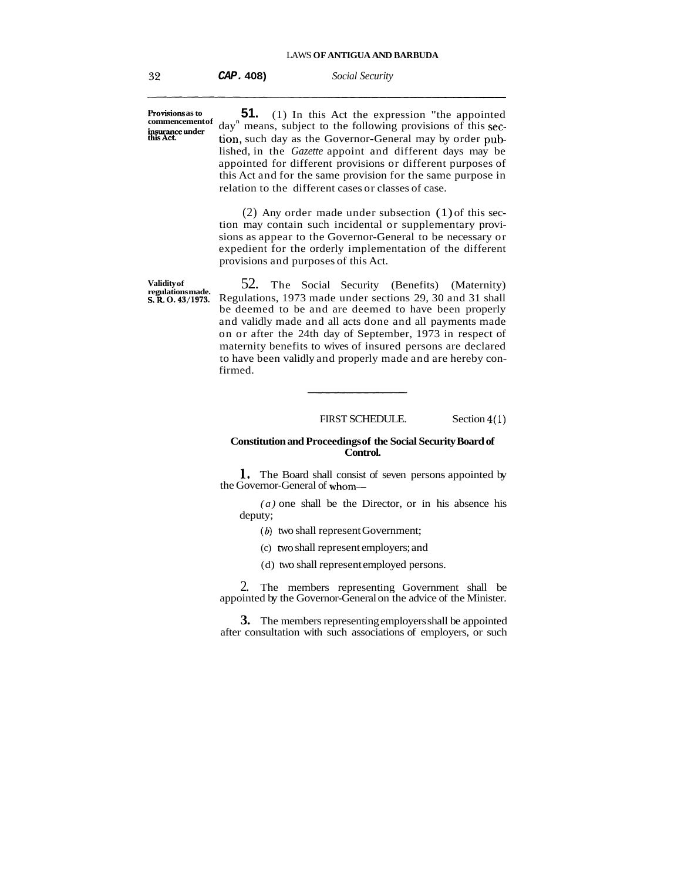**CAP. 408)** *Social Security* 

**Provisions as to commencement of** 

**51.** (1) In this Act the expression "the appointed day<sup>n</sup> means, subject to the following provisions of this section, such day as the Governor-General may by order published, in the *Gazette* appoint and different days may be appointed for different provisions or different purposes of this Act and for the same provision for the same purpose in relation to the different cases or classes of case.

(2) Any order made under subsection (1) of this section may contain such incidental or supplementary provisions as appear to the Governor-General to be necessary or expedient for the orderly implementation of the different provisions and purposes of this Act.

**Validity of**  Validity of 52. The Social Security (Benefits) (Maternity) regulations made. **S. R. O.** 43/1973. Regulations, 1973 made under sections 29, 30 and 31 shall **S.R. 0.43/1973.** Regulations, 1973 made under sections 29, 30 and 31 shall be deemed to be and are deemed to have been properly and validly made and all acts done and all payments made on or after the 24th day of September, 1973 in respect of maternity benefits to wives of insured persons are declared to have been validly and properly made and are hereby confirmed.

FIRST SCHEDULE. Section **4(1)** 

## **Constitution and Proceedings of the Social Security Board of Control.**

**1.** The Board shall consist of seven persons appointed by the Governor-General of whom-

*(a)* one shall be the Director, or in his absence his deputy;

- *(6)* two shall represent Government;
- (c) two shall represent employers; and
- (d) two shall represent employed persons.

2. The members representing Government shall be appointed by the Governor-General on the advice of the Minister.

**3.** The members representing employers shall be appointed after consultation with such associations of employers, or such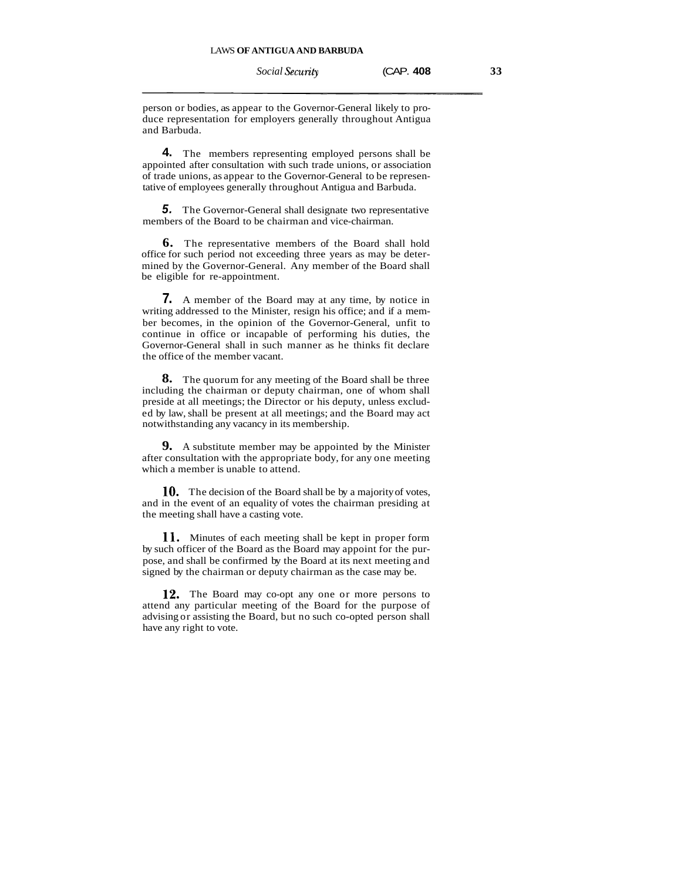person or bodies, as appear to the Governor-General likely to produce representation for employers generally throughout Antigua and Barbuda.

**4.** The members representing employed persons shall be appointed after consultation with such trade unions, or association of trade unions, as appear to the Governor-General to be representative of employees generally throughout Antigua and Barbuda.

**5.** The Governor-General shall designate two representative members of the Board to be chairman and vice-chairman.

**6.** The representative members of the Board shall hold office for such period not exceeding three years as may be determined by the Governor-General. Any member of the Board shall be eligible for re-appointment.

**7.** A member of the Board may at any time, by notice in writing addressed to the Minister, resign his office; and if a member becomes, in the opinion of the Governor-General, unfit to continue in office or incapable of performing his duties, the Governor-General shall in such manner as he thinks fit declare the office of the member vacant.

**8.** The quorum for any meeting of the Board shall be three including the chairman or deputy chairman, one of whom shall preside at all meetings; the Director or his deputy, unless excluded by law, shall be present at all meetings; and the Board may act notwithstanding any vacancy in its membership.

**9.** A substitute member may be appointed by the Minister after consultation with the appropriate body, for any one meeting which a member is unable to attend.

**10.** The decision of the Board shall be by a majority of votes, and in the event of an equality of votes the chairman presiding at the meeting shall have a casting vote.

**11.** Minutes of each meeting shall be kept in proper form by such officer of the Board as the Board may appoint for the purpose, and shall be confirmed by the Board at its next meeting and signed by the chairman or deputy chairman as the case may be.

**12.** The Board may co-opt any one or more persons to attend any particular meeting of the Board for the purpose of advising or assisting the Board, but no such co-opted person shall have any right to vote.